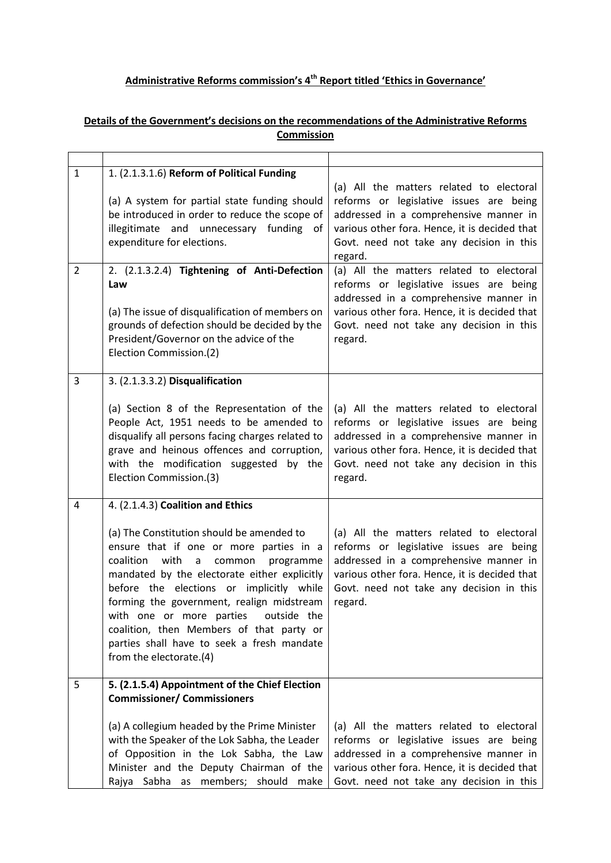## **Administrative Reforms commission's 4th Report titled 'Ethics in Governance'**

## **Details of the Government's decisions on the recommendations of the Administrative Reforms Commission**

| $\mathbf{1}$   | 1. (2.1.3.1.6) Reform of Political Funding<br>(a) A system for partial state funding should<br>be introduced in order to reduce the scope of<br>illegitimate and unnecessary funding<br>of<br>expenditure for elections.                                                                                                                                                                                                                                                            | (a) All the matters related to electoral<br>reforms or legislative issues are being<br>addressed in a comprehensive manner in<br>various other fora. Hence, it is decided that<br>Govt. need not take any decision in this<br>regard. |
|----------------|-------------------------------------------------------------------------------------------------------------------------------------------------------------------------------------------------------------------------------------------------------------------------------------------------------------------------------------------------------------------------------------------------------------------------------------------------------------------------------------|---------------------------------------------------------------------------------------------------------------------------------------------------------------------------------------------------------------------------------------|
| $\overline{2}$ | 2. (2.1.3.2.4) Tightening of Anti-Defection<br>Law<br>(a) The issue of disqualification of members on<br>grounds of defection should be decided by the<br>President/Governor on the advice of the<br>Election Commission.(2)                                                                                                                                                                                                                                                        | (a) All the matters related to electoral<br>reforms or legislative issues are being<br>addressed in a comprehensive manner in<br>various other fora. Hence, it is decided that<br>Govt. need not take any decision in this<br>regard. |
| 3              | 3. (2.1.3.3.2) Disqualification<br>(a) Section 8 of the Representation of the<br>People Act, 1951 needs to be amended to<br>disqualify all persons facing charges related to<br>grave and heinous offences and corruption,<br>with the modification suggested by the<br>Election Commission.(3)                                                                                                                                                                                     | (a) All the matters related to electoral<br>reforms or legislative issues are being<br>addressed in a comprehensive manner in<br>various other fora. Hence, it is decided that<br>Govt. need not take any decision in this<br>regard. |
| 4              | 4. (2.1.4.3) Coalition and Ethics<br>(a) The Constitution should be amended to<br>ensure that if one or more parties in a<br>with<br>coalition<br>common<br>programme<br>a<br>mandated by the electorate either explicitly<br>before the elections or implicitly while<br>forming the government, realign midstream<br>with one or more parties<br>outside the<br>coalition, then Members of that party or<br>parties shall have to seek a fresh mandate<br>from the electorate.(4) | (a) All the matters related to electoral<br>reforms or legislative issues are being<br>addressed in a comprehensive manner in<br>various other fora. Hence, it is decided that<br>Govt. need not take any decision in this<br>regard. |
| 5              | 5. (2.1.5.4) Appointment of the Chief Election<br><b>Commissioner/ Commissioners</b><br>(a) A collegium headed by the Prime Minister<br>with the Speaker of the Lok Sabha, the Leader<br>of Opposition in the Lok Sabha, the Law<br>Minister and the Deputy Chairman of the<br>Rajya Sabha as members; should make                                                                                                                                                                  | (a) All the matters related to electoral<br>reforms or legislative issues are being<br>addressed in a comprehensive manner in<br>various other fora. Hence, it is decided that<br>Govt. need not take any decision in this            |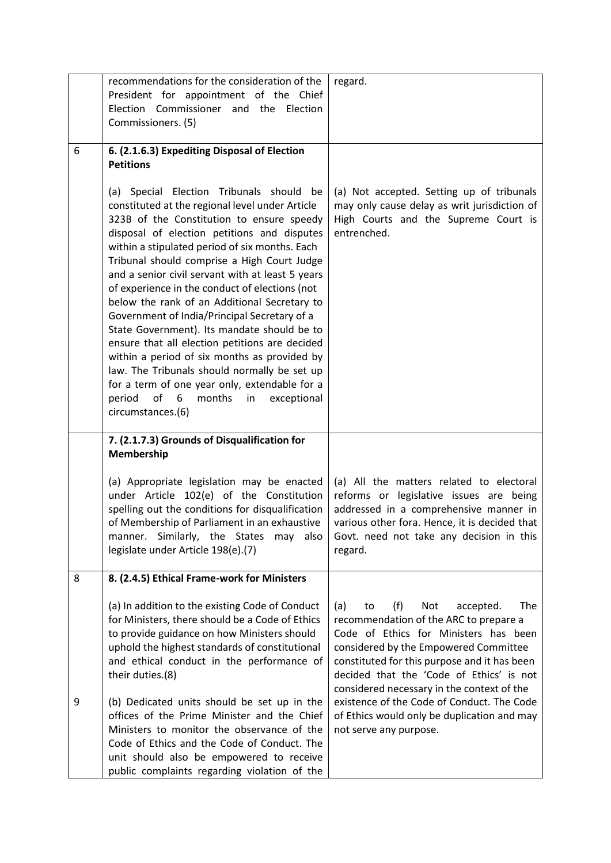|   | recommendations for the consideration of the<br>President for appointment of the Chief<br>Election Commissioner and the<br>Election<br>Commissioners. (5)                                                                                                                                                                                                                                                                                                                                                                                                                                                                                                                                                                                                                                                                    | regard.                                                                                                                                                                                                                                                                                                           |
|---|------------------------------------------------------------------------------------------------------------------------------------------------------------------------------------------------------------------------------------------------------------------------------------------------------------------------------------------------------------------------------------------------------------------------------------------------------------------------------------------------------------------------------------------------------------------------------------------------------------------------------------------------------------------------------------------------------------------------------------------------------------------------------------------------------------------------------|-------------------------------------------------------------------------------------------------------------------------------------------------------------------------------------------------------------------------------------------------------------------------------------------------------------------|
| 6 | 6. (2.1.6.3) Expediting Disposal of Election<br><b>Petitions</b>                                                                                                                                                                                                                                                                                                                                                                                                                                                                                                                                                                                                                                                                                                                                                             |                                                                                                                                                                                                                                                                                                                   |
|   | (a) Special Election Tribunals should<br>be<br>constituted at the regional level under Article<br>323B of the Constitution to ensure speedy<br>disposal of election petitions and disputes<br>within a stipulated period of six months. Each<br>Tribunal should comprise a High Court Judge<br>and a senior civil servant with at least 5 years<br>of experience in the conduct of elections (not<br>below the rank of an Additional Secretary to<br>Government of India/Principal Secretary of a<br>State Government). Its mandate should be to<br>ensure that all election petitions are decided<br>within a period of six months as provided by<br>law. The Tribunals should normally be set up<br>for a term of one year only, extendable for a<br>of<br>6<br>period<br>months<br>in<br>exceptional<br>circumstances.(6) | (a) Not accepted. Setting up of tribunals<br>may only cause delay as writ jurisdiction of<br>High Courts and the Supreme Court is<br>entrenched.                                                                                                                                                                  |
|   | 7. (2.1.7.3) Grounds of Disqualification for<br>Membership                                                                                                                                                                                                                                                                                                                                                                                                                                                                                                                                                                                                                                                                                                                                                                   |                                                                                                                                                                                                                                                                                                                   |
|   | (a) Appropriate legislation may be enacted<br>under Article 102(e) of the Constitution<br>spelling out the conditions for disqualification<br>of Membership of Parliament in an exhaustive<br>manner. Similarly, the States may<br>also<br>legislate under Article 198(e).(7)                                                                                                                                                                                                                                                                                                                                                                                                                                                                                                                                                | (a) All the matters related to electoral<br>reforms or legislative issues are being<br>addressed in a comprehensive manner in<br>various other fora. Hence, it is decided that<br>Govt. need not take any decision in this<br>regard.                                                                             |
| 8 | 8. (2.4.5) Ethical Frame-work for Ministers                                                                                                                                                                                                                                                                                                                                                                                                                                                                                                                                                                                                                                                                                                                                                                                  |                                                                                                                                                                                                                                                                                                                   |
|   | (a) In addition to the existing Code of Conduct<br>for Ministers, there should be a Code of Ethics<br>to provide guidance on how Ministers should<br>uphold the highest standards of constitutional<br>and ethical conduct in the performance of<br>their duties.(8)                                                                                                                                                                                                                                                                                                                                                                                                                                                                                                                                                         | The<br>(f)<br>Not<br>accepted.<br>(a)<br>to<br>recommendation of the ARC to prepare a<br>Code of Ethics for Ministers has been<br>considered by the Empowered Committee<br>constituted for this purpose and it has been<br>decided that the 'Code of Ethics' is not<br>considered necessary in the context of the |
| 9 | (b) Dedicated units should be set up in the<br>offices of the Prime Minister and the Chief<br>Ministers to monitor the observance of the<br>Code of Ethics and the Code of Conduct. The<br>unit should also be empowered to receive<br>public complaints regarding violation of the                                                                                                                                                                                                                                                                                                                                                                                                                                                                                                                                          | existence of the Code of Conduct. The Code<br>of Ethics would only be duplication and may<br>not serve any purpose.                                                                                                                                                                                               |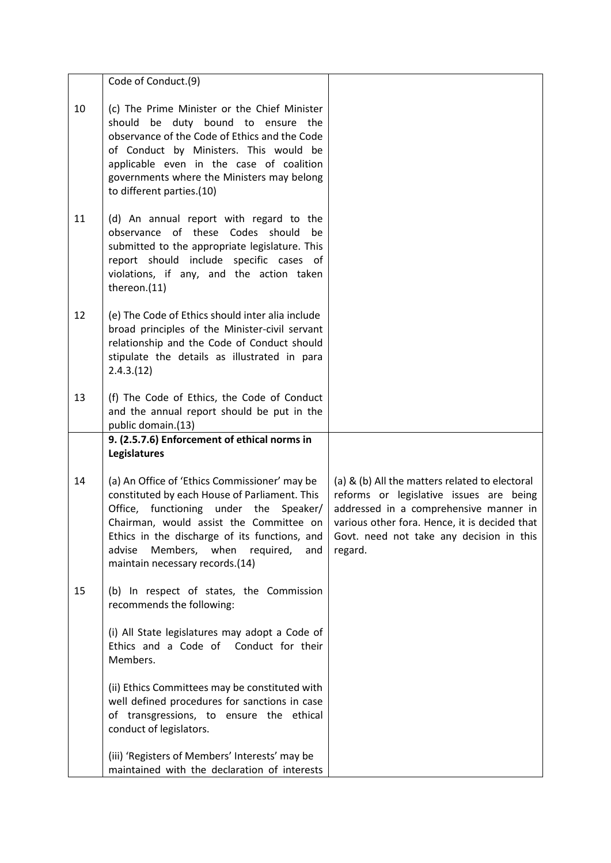|    | Code of Conduct.(9)                                                                                                                                                                                                                                                                                                    |                                                                                                                                                                                                                                             |
|----|------------------------------------------------------------------------------------------------------------------------------------------------------------------------------------------------------------------------------------------------------------------------------------------------------------------------|---------------------------------------------------------------------------------------------------------------------------------------------------------------------------------------------------------------------------------------------|
| 10 | (c) The Prime Minister or the Chief Minister<br>be duty bound to ensure the<br>should<br>observance of the Code of Ethics and the Code<br>of Conduct by Ministers. This would be<br>applicable even in the case of coalition<br>governments where the Ministers may belong<br>to different parties.(10)                |                                                                                                                                                                                                                                             |
| 11 | (d) An annual report with regard to the<br>observance of these Codes<br>should<br>be<br>submitted to the appropriate legislature. This<br>report should include specific cases of<br>violations, if any, and the action taken<br>thereon.(11)                                                                          |                                                                                                                                                                                                                                             |
| 12 | (e) The Code of Ethics should inter alia include<br>broad principles of the Minister-civil servant<br>relationship and the Code of Conduct should<br>stipulate the details as illustrated in para<br>2.4.3.(12)                                                                                                        |                                                                                                                                                                                                                                             |
| 13 | (f) The Code of Ethics, the Code of Conduct<br>and the annual report should be put in the<br>public domain.(13)                                                                                                                                                                                                        |                                                                                                                                                                                                                                             |
|    | 9. (2.5.7.6) Enforcement of ethical norms in<br><b>Legislatures</b>                                                                                                                                                                                                                                                    |                                                                                                                                                                                                                                             |
| 14 | (a) An Office of 'Ethics Commissioner' may be<br>constituted by each House of Parliament. This<br>Office, functioning under the<br>Speaker/<br>Chairman, would assist the Committee on<br>Ethics in the discharge of its functions, and<br>Members, when required,<br>advise<br>and<br>maintain necessary records.(14) | (a) & (b) All the matters related to electoral<br>reforms or legislative issues are being<br>addressed in a comprehensive manner in<br>various other fora. Hence, it is decided that<br>Govt. need not take any decision in this<br>regard. |
| 15 | (b) In respect of states, the Commission<br>recommends the following:                                                                                                                                                                                                                                                  |                                                                                                                                                                                                                                             |
|    | (i) All State legislatures may adopt a Code of<br>Ethics and a Code of Conduct for their<br>Members.                                                                                                                                                                                                                   |                                                                                                                                                                                                                                             |
|    | (ii) Ethics Committees may be constituted with<br>well defined procedures for sanctions in case<br>of transgressions, to ensure the ethical<br>conduct of legislators.                                                                                                                                                 |                                                                                                                                                                                                                                             |
|    | (iii) 'Registers of Members' Interests' may be<br>maintained with the declaration of interests                                                                                                                                                                                                                         |                                                                                                                                                                                                                                             |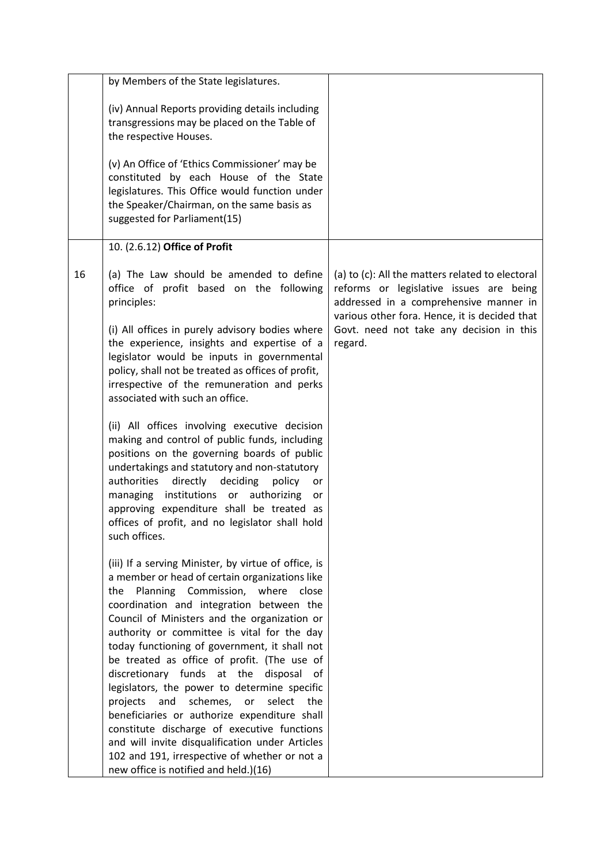|    | by Members of the State legislatures.                                                                                                                                                                                                                                                                                                                                                                               |                                                                                                                                                                                        |
|----|---------------------------------------------------------------------------------------------------------------------------------------------------------------------------------------------------------------------------------------------------------------------------------------------------------------------------------------------------------------------------------------------------------------------|----------------------------------------------------------------------------------------------------------------------------------------------------------------------------------------|
|    | (iv) Annual Reports providing details including<br>transgressions may be placed on the Table of<br>the respective Houses.<br>(v) An Office of 'Ethics Commissioner' may be<br>constituted by each House of the State                                                                                                                                                                                                |                                                                                                                                                                                        |
|    | legislatures. This Office would function under<br>the Speaker/Chairman, on the same basis as<br>suggested for Parliament(15)                                                                                                                                                                                                                                                                                        |                                                                                                                                                                                        |
|    | 10. (2.6.12) Office of Profit                                                                                                                                                                                                                                                                                                                                                                                       |                                                                                                                                                                                        |
| 16 | (a) The Law should be amended to define<br>office of profit based on the following<br>principles:                                                                                                                                                                                                                                                                                                                   | (a) to (c): All the matters related to electoral<br>reforms or legislative issues are being<br>addressed in a comprehensive manner in<br>various other fora. Hence, it is decided that |
|    | (i) All offices in purely advisory bodies where<br>the experience, insights and expertise of a<br>legislator would be inputs in governmental<br>policy, shall not be treated as offices of profit,<br>irrespective of the remuneration and perks<br>associated with such an office.                                                                                                                                 | Govt. need not take any decision in this<br>regard.                                                                                                                                    |
|    | (ii) All offices involving executive decision<br>making and control of public funds, including<br>positions on the governing boards of public<br>undertakings and statutory and non-statutory<br>authorities<br>directly<br>deciding<br>policy<br>or<br>managing institutions or authorizing<br>or<br>approving expenditure shall be treated as<br>offices of profit, and no legislator shall hold<br>such offices. |                                                                                                                                                                                        |
|    | (iii) If a serving Minister, by virtue of office, is<br>a member or head of certain organizations like<br>Planning Commission,<br>where<br>the<br>close<br>coordination and integration between the<br>Council of Ministers and the organization or<br>authority or committee is vital for the day<br>today functioning of government, it shall not<br>be treated as office of profit. (The use of                  |                                                                                                                                                                                        |
|    | discretionary funds at the<br>disposal<br>.ot<br>legislators, the power to determine specific<br>schemes,<br>select<br>and<br>or<br>projects<br>the<br>beneficiaries or authorize expenditure shall<br>constitute discharge of executive functions<br>and will invite disqualification under Articles                                                                                                               |                                                                                                                                                                                        |
|    | 102 and 191, irrespective of whether or not a<br>new office is notified and held.)(16)                                                                                                                                                                                                                                                                                                                              |                                                                                                                                                                                        |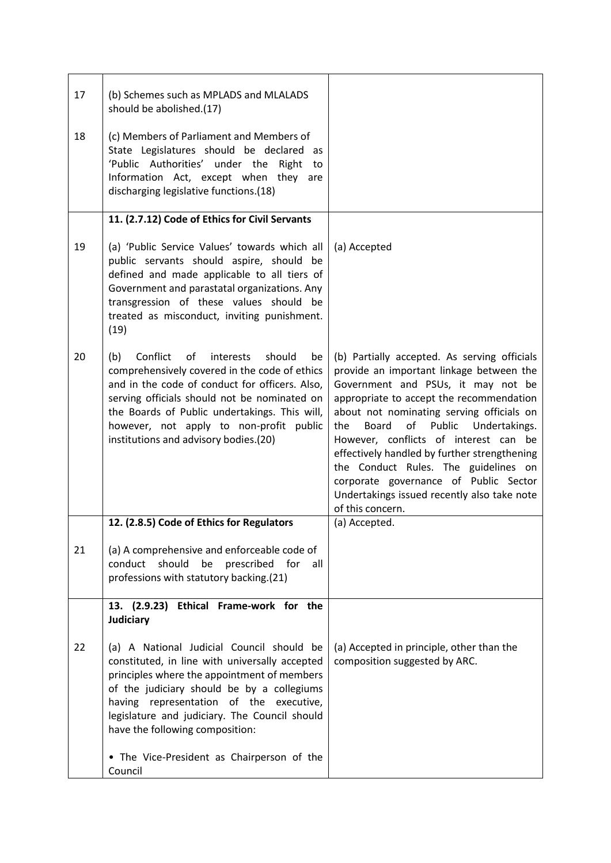| 17 | (b) Schemes such as MPLADS and MLALADS<br>should be abolished.(17)                                                                                                                                                                                                                                                                                                               |                                                                                                                                                                                                                                                                                                                                                                                                                                                                                                                       |
|----|----------------------------------------------------------------------------------------------------------------------------------------------------------------------------------------------------------------------------------------------------------------------------------------------------------------------------------------------------------------------------------|-----------------------------------------------------------------------------------------------------------------------------------------------------------------------------------------------------------------------------------------------------------------------------------------------------------------------------------------------------------------------------------------------------------------------------------------------------------------------------------------------------------------------|
| 18 | (c) Members of Parliament and Members of<br>State Legislatures should be declared as<br>'Public Authorities' under the<br>Right<br>to<br>Information Act, except when they are<br>discharging legislative functions.(18)                                                                                                                                                         |                                                                                                                                                                                                                                                                                                                                                                                                                                                                                                                       |
|    | 11. (2.7.12) Code of Ethics for Civil Servants                                                                                                                                                                                                                                                                                                                                   |                                                                                                                                                                                                                                                                                                                                                                                                                                                                                                                       |
| 19 | (a) 'Public Service Values' towards which all<br>public servants should aspire, should be<br>defined and made applicable to all tiers of<br>Government and parastatal organizations. Any<br>transgression of these values should be<br>treated as misconduct, inviting punishment.<br>(19)                                                                                       | (a) Accepted                                                                                                                                                                                                                                                                                                                                                                                                                                                                                                          |
| 20 | Conflict<br>of<br>should<br>(b)<br>interests<br>be<br>comprehensively covered in the code of ethics<br>and in the code of conduct for officers. Also,<br>serving officials should not be nominated on<br>the Boards of Public undertakings. This will,<br>however, not apply to non-profit public<br>institutions and advisory bodies.(20)                                       | (b) Partially accepted. As serving officials<br>provide an important linkage between the<br>Government and PSUs, it may not be<br>appropriate to accept the recommendation<br>about not nominating serving officials on<br>of<br>Public<br>the<br>Board<br>Undertakings.<br>However, conflicts of interest can be<br>effectively handled by further strengthening<br>the Conduct Rules. The guidelines on<br>corporate governance of Public Sector<br>Undertakings issued recently also take note<br>of this concern. |
|    | 12. (2.8.5) Code of Ethics for Regulators                                                                                                                                                                                                                                                                                                                                        | (a) Accepted.                                                                                                                                                                                                                                                                                                                                                                                                                                                                                                         |
| 21 | (a) A comprehensive and enforceable code of<br>should<br>be<br>prescribed<br>conduct<br>for<br>all<br>professions with statutory backing.(21)                                                                                                                                                                                                                                    |                                                                                                                                                                                                                                                                                                                                                                                                                                                                                                                       |
|    | 13. (2.9.23) Ethical Frame-work for the<br><b>Judiciary</b>                                                                                                                                                                                                                                                                                                                      |                                                                                                                                                                                                                                                                                                                                                                                                                                                                                                                       |
| 22 | (a) A National Judicial Council should be<br>constituted, in line with universally accepted<br>principles where the appointment of members<br>of the judiciary should be by a collegiums<br>having representation of the executive,<br>legislature and judiciary. The Council should<br>have the following composition:<br>• The Vice-President as Chairperson of the<br>Council | (a) Accepted in principle, other than the<br>composition suggested by ARC.                                                                                                                                                                                                                                                                                                                                                                                                                                            |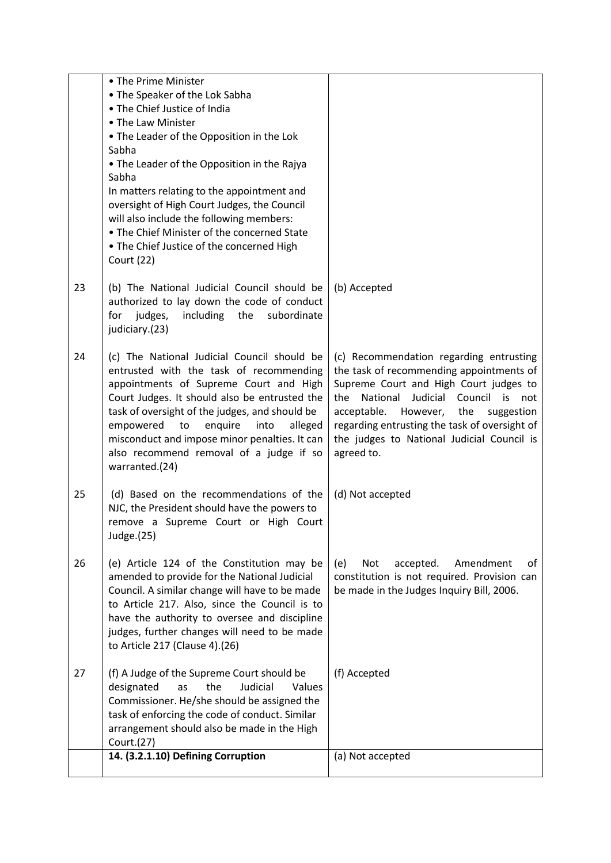|    | • The Prime Minister                                                                            |                                                                                               |
|----|-------------------------------------------------------------------------------------------------|-----------------------------------------------------------------------------------------------|
|    | • The Speaker of the Lok Sabha<br>• The Chief Justice of India                                  |                                                                                               |
|    | • The Law Minister                                                                              |                                                                                               |
|    | • The Leader of the Opposition in the Lok                                                       |                                                                                               |
|    | Sabha                                                                                           |                                                                                               |
|    | • The Leader of the Opposition in the Rajya                                                     |                                                                                               |
|    | Sabha                                                                                           |                                                                                               |
|    | In matters relating to the appointment and                                                      |                                                                                               |
|    | oversight of High Court Judges, the Council                                                     |                                                                                               |
|    | will also include the following members:<br>• The Chief Minister of the concerned State         |                                                                                               |
|    | . The Chief Justice of the concerned High                                                       |                                                                                               |
|    | <b>Court (22)</b>                                                                               |                                                                                               |
|    |                                                                                                 |                                                                                               |
| 23 | (b) The National Judicial Council should be                                                     | (b) Accepted                                                                                  |
|    | authorized to lay down the code of conduct                                                      |                                                                                               |
|    | including<br>the<br>judges,<br>subordinate<br>for                                               |                                                                                               |
|    | judiciary.(23)                                                                                  |                                                                                               |
| 24 | (c) The National Judicial Council should be                                                     | (c) Recommendation regarding entrusting                                                       |
|    | entrusted with the task of recommending                                                         | the task of recommending appointments of                                                      |
|    | appointments of Supreme Court and High                                                          | Supreme Court and High Court judges to                                                        |
|    | Court Judges. It should also be entrusted the<br>task of oversight of the judges, and should be | National<br>Judicial Council is<br>the<br>not<br>acceptable.<br>However,<br>the<br>suggestion |
|    | enquire<br>empowered<br>to<br>into<br>alleged                                                   | regarding entrusting the task of oversight of                                                 |
|    | misconduct and impose minor penalties. It can                                                   | the judges to National Judicial Council is                                                    |
|    | also recommend removal of a judge if so                                                         | agreed to.                                                                                    |
|    | warranted.(24)                                                                                  |                                                                                               |
| 25 | (d) Based on the recommendations of the                                                         | (d) Not accepted                                                                              |
|    | NJC, the President should have the powers to                                                    |                                                                                               |
|    | remove a Supreme Court or High Court                                                            |                                                                                               |
|    | Judge.(25)                                                                                      |                                                                                               |
| 26 | (e) Article 124 of the Constitution may be                                                      | <b>Not</b><br>accepted.<br>Amendment<br>of<br>(e)                                             |
|    | amended to provide for the National Judicial                                                    | constitution is not required. Provision can                                                   |
|    | Council. A similar change will have to be made                                                  | be made in the Judges Inquiry Bill, 2006.                                                     |
|    | to Article 217. Also, since the Council is to                                                   |                                                                                               |
|    | have the authority to oversee and discipline                                                    |                                                                                               |
|    | judges, further changes will need to be made<br>to Article 217 (Clause 4).(26)                  |                                                                                               |
|    |                                                                                                 |                                                                                               |
| 27 | (f) A Judge of the Supreme Court should be                                                      | (f) Accepted                                                                                  |
|    | designated<br>Judicial<br>the<br>Values<br>as                                                   |                                                                                               |
|    | Commissioner. He/she should be assigned the                                                     |                                                                                               |
|    | task of enforcing the code of conduct. Similar<br>arrangement should also be made in the High   |                                                                                               |
|    | Court.(27)                                                                                      |                                                                                               |
|    | 14. (3.2.1.10) Defining Corruption                                                              | (a) Not accepted                                                                              |
|    |                                                                                                 |                                                                                               |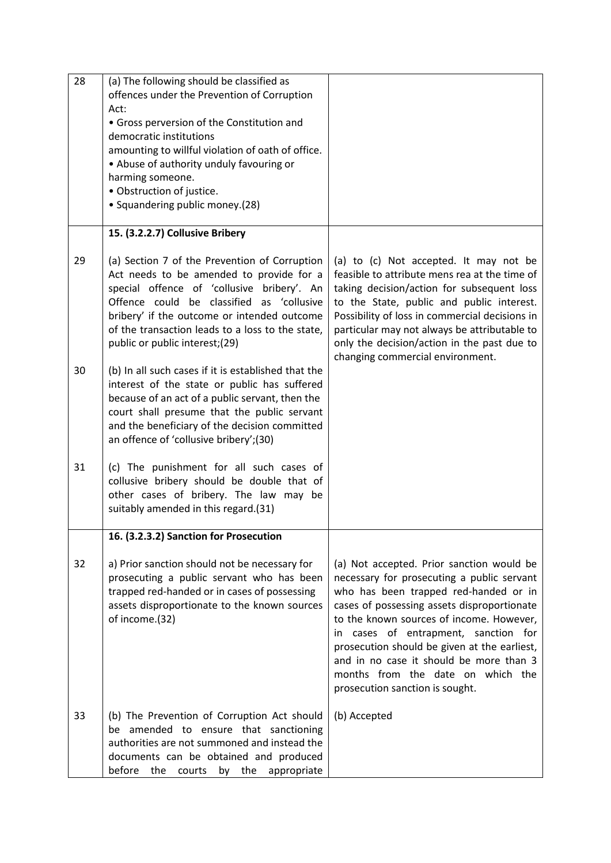| 28 | (a) The following should be classified as<br>offences under the Prevention of Corruption<br>Act:<br>• Gross perversion of the Constitution and<br>democratic institutions<br>amounting to willful violation of oath of office.<br>• Abuse of authority unduly favouring or<br>harming someone.<br>· Obstruction of justice.<br>• Squandering public money.(28) |                                                                                                                                                                                                                                                                                                                                                                                                                                            |
|----|----------------------------------------------------------------------------------------------------------------------------------------------------------------------------------------------------------------------------------------------------------------------------------------------------------------------------------------------------------------|--------------------------------------------------------------------------------------------------------------------------------------------------------------------------------------------------------------------------------------------------------------------------------------------------------------------------------------------------------------------------------------------------------------------------------------------|
|    | 15. (3.2.2.7) Collusive Bribery                                                                                                                                                                                                                                                                                                                                |                                                                                                                                                                                                                                                                                                                                                                                                                                            |
| 29 | (a) Section 7 of the Prevention of Corruption<br>Act needs to be amended to provide for a<br>special offence of 'collusive bribery'. An<br>Offence could be classified as 'collusive<br>bribery' if the outcome or intended outcome<br>of the transaction leads to a loss to the state,<br>public or public interest;(29)                                      | (a) to (c) Not accepted. It may not be<br>feasible to attribute mens rea at the time of<br>taking decision/action for subsequent loss<br>to the State, public and public interest.<br>Possibility of loss in commercial decisions in<br>particular may not always be attributable to<br>only the decision/action in the past due to<br>changing commercial environment.                                                                    |
| 30 | (b) In all such cases if it is established that the<br>interest of the state or public has suffered<br>because of an act of a public servant, then the<br>court shall presume that the public servant<br>and the beneficiary of the decision committed<br>an offence of 'collusive bribery';(30)                                                               |                                                                                                                                                                                                                                                                                                                                                                                                                                            |
| 31 | (c) The punishment for all such cases of<br>collusive bribery should be double that of<br>other cases of bribery. The law may be<br>suitably amended in this regard.(31)                                                                                                                                                                                       |                                                                                                                                                                                                                                                                                                                                                                                                                                            |
|    | 16. (3.2.3.2) Sanction for Prosecution                                                                                                                                                                                                                                                                                                                         |                                                                                                                                                                                                                                                                                                                                                                                                                                            |
| 32 | a) Prior sanction should not be necessary for<br>prosecuting a public servant who has been<br>trapped red-handed or in cases of possessing<br>assets disproportionate to the known sources<br>of income.(32)                                                                                                                                                   | (a) Not accepted. Prior sanction would be<br>necessary for prosecuting a public servant<br>who has been trapped red-handed or in<br>cases of possessing assets disproportionate<br>to the known sources of income. However,<br>cases of entrapment, sanction for<br>in.<br>prosecution should be given at the earliest,<br>and in no case it should be more than 3<br>months from the date on which the<br>prosecution sanction is sought. |
| 33 | (b) The Prevention of Corruption Act should<br>be amended to ensure that sanctioning<br>authorities are not summoned and instead the<br>documents can be obtained and produced<br>before<br>the<br>the<br>courts<br>by<br>appropriate                                                                                                                          | (b) Accepted                                                                                                                                                                                                                                                                                                                                                                                                                               |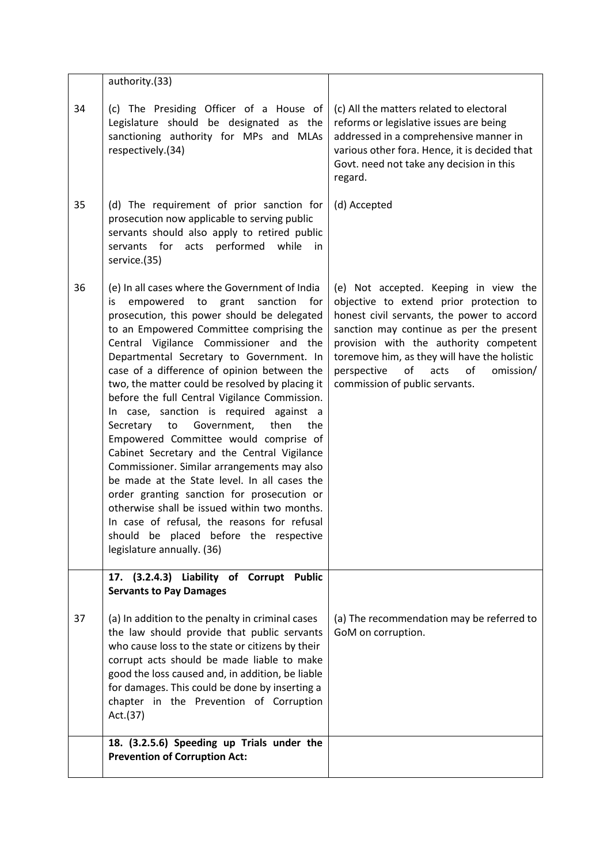|    | authority.(33)                                                                                                                                                                                                                                                                                                                                                                                                                                                                                                                                                                                                                                                                                                                                                                                                                                                                                                                            |                                                                                                                                                                                                                                                                                                                                                        |
|----|-------------------------------------------------------------------------------------------------------------------------------------------------------------------------------------------------------------------------------------------------------------------------------------------------------------------------------------------------------------------------------------------------------------------------------------------------------------------------------------------------------------------------------------------------------------------------------------------------------------------------------------------------------------------------------------------------------------------------------------------------------------------------------------------------------------------------------------------------------------------------------------------------------------------------------------------|--------------------------------------------------------------------------------------------------------------------------------------------------------------------------------------------------------------------------------------------------------------------------------------------------------------------------------------------------------|
| 34 | (c) The Presiding Officer of a House of<br>Legislature should be designated as the<br>sanctioning authority for MPs and MLAs<br>respectively.(34)                                                                                                                                                                                                                                                                                                                                                                                                                                                                                                                                                                                                                                                                                                                                                                                         | (c) All the matters related to electoral<br>reforms or legislative issues are being<br>addressed in a comprehensive manner in<br>various other fora. Hence, it is decided that<br>Govt. need not take any decision in this<br>regard.                                                                                                                  |
| 35 | (d) The requirement of prior sanction for<br>prosecution now applicable to serving public<br>servants should also apply to retired public<br>servants for acts<br>performed<br>while<br>in<br>service.(35)                                                                                                                                                                                                                                                                                                                                                                                                                                                                                                                                                                                                                                                                                                                                | (d) Accepted                                                                                                                                                                                                                                                                                                                                           |
| 36 | (e) In all cases where the Government of India<br>empowered to grant<br>for<br>is<br>sanction<br>prosecution, this power should be delegated<br>to an Empowered Committee comprising the<br>Central Vigilance Commissioner and the<br>Departmental Secretary to Government. In<br>case of a difference of opinion between the<br>two, the matter could be resolved by placing it<br>before the full Central Vigilance Commission.<br>In case, sanction is required against a<br>Government,<br>then<br>Secretary<br>to<br>the<br>Empowered Committee would comprise of<br>Cabinet Secretary and the Central Vigilance<br>Commissioner. Similar arrangements may also<br>be made at the State level. In all cases the<br>order granting sanction for prosecution or<br>otherwise shall be issued within two months.<br>In case of refusal, the reasons for refusal<br>should be placed before the respective<br>legislature annually. (36) | (e) Not accepted. Keeping in view the<br>objective to extend prior protection to<br>honest civil servants, the power to accord<br>sanction may continue as per the present<br>provision with the authority competent<br>toremove him, as they will have the holistic<br>of<br>perspective<br>acts<br>of<br>omission/<br>commission of public servants. |
|    | 17. (3.2.4.3) Liability of Corrupt Public<br><b>Servants to Pay Damages</b>                                                                                                                                                                                                                                                                                                                                                                                                                                                                                                                                                                                                                                                                                                                                                                                                                                                               |                                                                                                                                                                                                                                                                                                                                                        |
| 37 | (a) In addition to the penalty in criminal cases<br>the law should provide that public servants<br>who cause loss to the state or citizens by their<br>corrupt acts should be made liable to make<br>good the loss caused and, in addition, be liable<br>for damages. This could be done by inserting a<br>chapter in the Prevention of Corruption<br>Act.(37)                                                                                                                                                                                                                                                                                                                                                                                                                                                                                                                                                                            | (a) The recommendation may be referred to<br>GoM on corruption.                                                                                                                                                                                                                                                                                        |
|    | 18. (3.2.5.6) Speeding up Trials under the<br><b>Prevention of Corruption Act:</b>                                                                                                                                                                                                                                                                                                                                                                                                                                                                                                                                                                                                                                                                                                                                                                                                                                                        |                                                                                                                                                                                                                                                                                                                                                        |
|    |                                                                                                                                                                                                                                                                                                                                                                                                                                                                                                                                                                                                                                                                                                                                                                                                                                                                                                                                           |                                                                                                                                                                                                                                                                                                                                                        |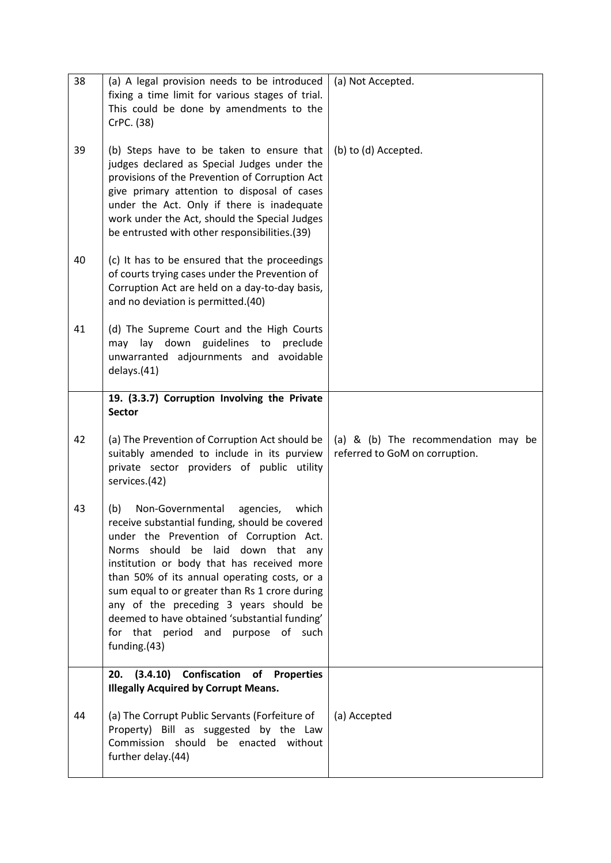| 38 | (a) A legal provision needs to be introduced<br>fixing a time limit for various stages of trial.<br>This could be done by amendments to the<br>CrPC. (38)                                                                                                                                                                                                                                                                                                                          | (a) Not Accepted.                                                     |
|----|------------------------------------------------------------------------------------------------------------------------------------------------------------------------------------------------------------------------------------------------------------------------------------------------------------------------------------------------------------------------------------------------------------------------------------------------------------------------------------|-----------------------------------------------------------------------|
| 39 | (b) Steps have to be taken to ensure that<br>judges declared as Special Judges under the<br>provisions of the Prevention of Corruption Act<br>give primary attention to disposal of cases<br>under the Act. Only if there is inadequate<br>work under the Act, should the Special Judges<br>be entrusted with other responsibilities.(39)                                                                                                                                          | (b) to (d) Accepted.                                                  |
| 40 | (c) It has to be ensured that the proceedings<br>of courts trying cases under the Prevention of<br>Corruption Act are held on a day-to-day basis,<br>and no deviation is permitted.(40)                                                                                                                                                                                                                                                                                            |                                                                       |
| 41 | (d) The Supreme Court and the High Courts<br>may lay down guidelines to<br>preclude<br>unwarranted adjournments and avoidable<br>delays.(41)                                                                                                                                                                                                                                                                                                                                       |                                                                       |
|    | 19. (3.3.7) Corruption Involving the Private<br><b>Sector</b>                                                                                                                                                                                                                                                                                                                                                                                                                      |                                                                       |
| 42 | (a) The Prevention of Corruption Act should be<br>suitably amended to include in its purview<br>private sector providers of public utility<br>services.(42)                                                                                                                                                                                                                                                                                                                        | (a) & (b) The recommendation may be<br>referred to GoM on corruption. |
| 43 | Non-Governmental<br>agencies,<br>which<br>(b)<br>receive substantial funding, should be covered<br>under the Prevention of Corruption Act.<br>Norms should be laid down that any<br>institution or body that has received more<br>than 50% of its annual operating costs, or a<br>sum equal to or greater than Rs 1 crore during<br>any of the preceding 3 years should be<br>deemed to have obtained 'substantial funding'<br>for that period and purpose of such<br>funding.(43) |                                                                       |
|    | (3.4.10) Confiscation of Properties<br>20.<br><b>Illegally Acquired by Corrupt Means.</b>                                                                                                                                                                                                                                                                                                                                                                                          |                                                                       |
| 44 | (a) The Corrupt Public Servants (Forfeiture of<br>Property) Bill as suggested by the Law<br>Commission should be enacted without<br>further delay.(44)                                                                                                                                                                                                                                                                                                                             | (a) Accepted                                                          |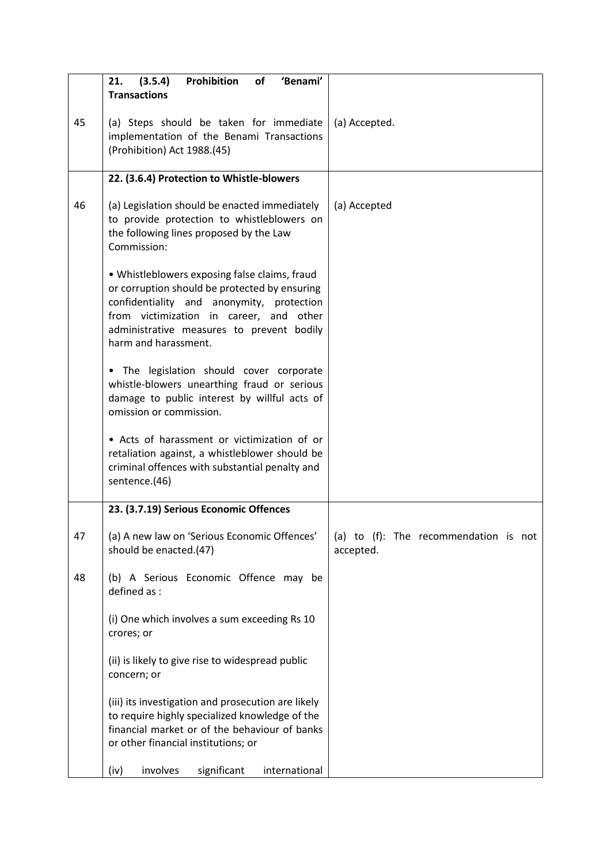|    | (3.5.4)<br>Prohibition<br>21.<br>of<br>'Benami'<br><b>Transactions</b>                                                                                                                                                                                      |                                                    |
|----|-------------------------------------------------------------------------------------------------------------------------------------------------------------------------------------------------------------------------------------------------------------|----------------------------------------------------|
| 45 | (a) Steps should be taken for immediate<br>implementation of the Benami Transactions<br>(Prohibition) Act 1988.(45)                                                                                                                                         | (a) Accepted.                                      |
|    | 22. (3.6.4) Protection to Whistle-blowers                                                                                                                                                                                                                   |                                                    |
| 46 | (a) Legislation should be enacted immediately<br>to provide protection to whistleblowers on<br>the following lines proposed by the Law<br>Commission:                                                                                                       | (a) Accepted                                       |
|    | • Whistleblowers exposing false claims, fraud<br>or corruption should be protected by ensuring<br>confidentiality and anonymity, protection<br>from victimization in career, and other<br>administrative measures to prevent bodily<br>harm and harassment. |                                                    |
|    | . The legislation should cover corporate<br>whistle-blowers unearthing fraud or serious<br>damage to public interest by willful acts of<br>omission or commission.                                                                                          |                                                    |
|    | • Acts of harassment or victimization of or<br>retaliation against, a whistleblower should be<br>criminal offences with substantial penalty and<br>sentence.(46)                                                                                            |                                                    |
|    | 23. (3.7.19) Serious Economic Offences                                                                                                                                                                                                                      |                                                    |
| 47 | (a) A new law on 'Serious Economic Offences'<br>should be enacted.(47)                                                                                                                                                                                      | (a) to (f): The recommendation is not<br>accepted. |
| 48 | (b) A Serious Economic Offence may be<br>defined as :                                                                                                                                                                                                       |                                                    |
|    | (i) One which involves a sum exceeding Rs 10<br>crores; or                                                                                                                                                                                                  |                                                    |
|    | (ii) is likely to give rise to widespread public<br>concern; or                                                                                                                                                                                             |                                                    |
|    | (iii) its investigation and prosecution are likely<br>to require highly specialized knowledge of the<br>financial market or of the behaviour of banks<br>or other financial institutions; or                                                                |                                                    |
|    | involves<br>significant<br>international<br>(iv)                                                                                                                                                                                                            |                                                    |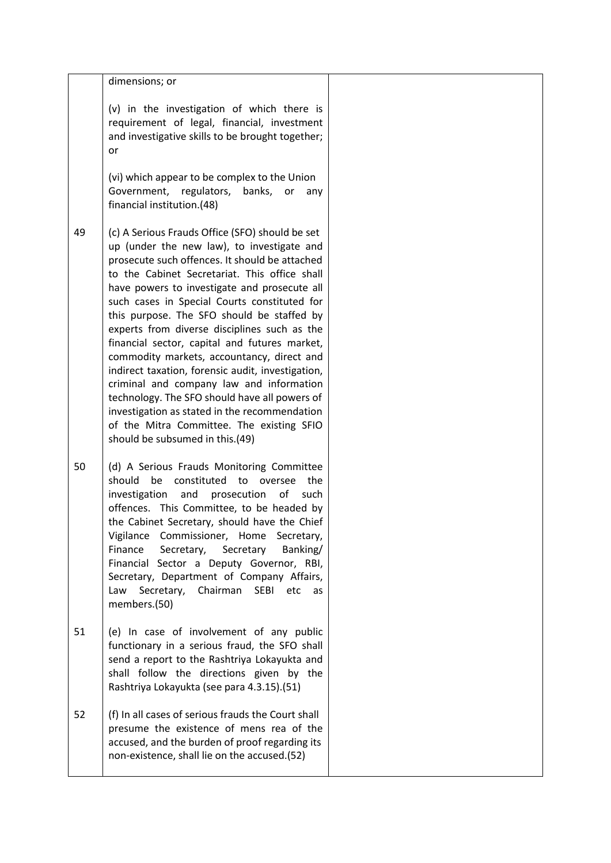|    | dimensions; or<br>(v) in the investigation of which there is<br>requirement of legal, financial, investment<br>and investigative skills to be brought together;<br>or                                                                                                                                                                                                                                                                                                                                                                                                                                                                                                                                                                                                            |  |
|----|----------------------------------------------------------------------------------------------------------------------------------------------------------------------------------------------------------------------------------------------------------------------------------------------------------------------------------------------------------------------------------------------------------------------------------------------------------------------------------------------------------------------------------------------------------------------------------------------------------------------------------------------------------------------------------------------------------------------------------------------------------------------------------|--|
|    | (vi) which appear to be complex to the Union<br>Government, regulators, banks,<br>or<br>any<br>financial institution.(48)                                                                                                                                                                                                                                                                                                                                                                                                                                                                                                                                                                                                                                                        |  |
| 49 | (c) A Serious Frauds Office (SFO) should be set<br>up (under the new law), to investigate and<br>prosecute such offences. It should be attached<br>to the Cabinet Secretariat. This office shall<br>have powers to investigate and prosecute all<br>such cases in Special Courts constituted for<br>this purpose. The SFO should be staffed by<br>experts from diverse disciplines such as the<br>financial sector, capital and futures market,<br>commodity markets, accountancy, direct and<br>indirect taxation, forensic audit, investigation,<br>criminal and company law and information<br>technology. The SFO should have all powers of<br>investigation as stated in the recommendation<br>of the Mitra Committee. The existing SFIO<br>should be subsumed in this.(49) |  |
| 50 | (d) A Serious Frauds Monitoring Committee<br>should be constituted to oversee the<br>investigation<br>of<br>and<br>prosecution<br>such<br>offences. This Committee, to be headed by<br>the Cabinet Secretary, should have the Chief<br>Vigilance Commissioner, Home Secretary,<br>Finance<br>Secretary,<br>Secretary<br>Banking/<br>Financial Sector a Deputy Governor, RBI,<br>Secretary, Department of Company Affairs,<br>Law<br>Secretary,<br>Chairman<br><b>SEBI</b><br>etc<br>as<br>members.(50)                                                                                                                                                                                                                                                                           |  |
| 51 | (e) In case of involvement of any public<br>functionary in a serious fraud, the SFO shall<br>send a report to the Rashtriya Lokayukta and<br>shall follow the directions given by the<br>Rashtriya Lokayukta (see para 4.3.15).(51)                                                                                                                                                                                                                                                                                                                                                                                                                                                                                                                                              |  |
| 52 | (f) In all cases of serious frauds the Court shall<br>presume the existence of mens rea of the<br>accused, and the burden of proof regarding its<br>non-existence, shall lie on the accused.(52)                                                                                                                                                                                                                                                                                                                                                                                                                                                                                                                                                                                 |  |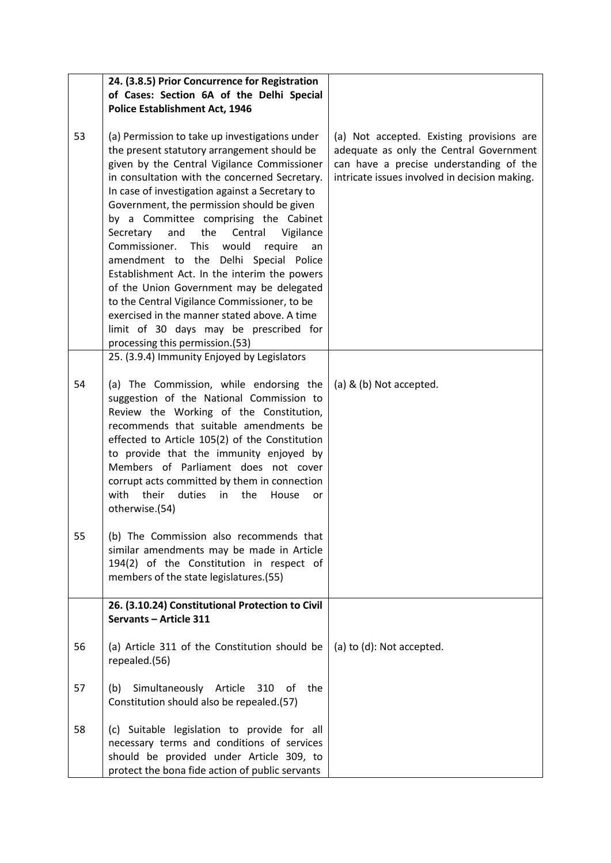|    | 24. (3.8.5) Prior Concurrence for Registration<br>of Cases: Section 6A of the Delhi Special<br><b>Police Establishment Act, 1946</b>                                                                                                                                                                                                                                                                                                                                                                                                                                                                                                                                                                                                                                |                                                                                                                                                                                  |
|----|---------------------------------------------------------------------------------------------------------------------------------------------------------------------------------------------------------------------------------------------------------------------------------------------------------------------------------------------------------------------------------------------------------------------------------------------------------------------------------------------------------------------------------------------------------------------------------------------------------------------------------------------------------------------------------------------------------------------------------------------------------------------|----------------------------------------------------------------------------------------------------------------------------------------------------------------------------------|
| 53 | (a) Permission to take up investigations under<br>the present statutory arrangement should be<br>given by the Central Vigilance Commissioner<br>in consultation with the concerned Secretary.<br>In case of investigation against a Secretary to<br>Government, the permission should be given<br>by a Committee comprising the Cabinet<br>the<br>Secretary and<br>Central<br>Vigilance<br>Commissioner.<br><b>This</b><br>would<br>require<br>an<br>amendment to the Delhi Special Police<br>Establishment Act. In the interim the powers<br>of the Union Government may be delegated<br>to the Central Vigilance Commissioner, to be<br>exercised in the manner stated above. A time<br>limit of 30 days may be prescribed for<br>processing this permission.(53) | (a) Not accepted. Existing provisions are<br>adequate as only the Central Government<br>can have a precise understanding of the<br>intricate issues involved in decision making. |
| 54 | 25. (3.9.4) Immunity Enjoyed by Legislators<br>(a) The Commission, while endorsing the<br>suggestion of the National Commission to<br>Review the Working of the Constitution,<br>recommends that suitable amendments be<br>effected to Article 105(2) of the Constitution<br>to provide that the immunity enjoyed by<br>Members of Parliament does not cover<br>corrupt acts committed by them in connection<br>with<br>duties<br>their<br>in the<br>House<br>or<br>otherwise.(54)                                                                                                                                                                                                                                                                                  | (a) & (b) Not accepted.                                                                                                                                                          |
| 55 | (b) The Commission also recommends that<br>similar amendments may be made in Article<br>194(2) of the Constitution in respect of<br>members of the state legislatures.(55)                                                                                                                                                                                                                                                                                                                                                                                                                                                                                                                                                                                          |                                                                                                                                                                                  |
|    | 26. (3.10.24) Constitutional Protection to Civil<br>Servants - Article 311                                                                                                                                                                                                                                                                                                                                                                                                                                                                                                                                                                                                                                                                                          |                                                                                                                                                                                  |
| 56 | (a) Article 311 of the Constitution should be<br>repealed.(56)                                                                                                                                                                                                                                                                                                                                                                                                                                                                                                                                                                                                                                                                                                      | (a) to (d): Not accepted.                                                                                                                                                        |
| 57 | Simultaneously Article<br>the<br>(b)<br>310<br>оt<br>Constitution should also be repealed.(57)                                                                                                                                                                                                                                                                                                                                                                                                                                                                                                                                                                                                                                                                      |                                                                                                                                                                                  |
| 58 | (c) Suitable legislation to provide for all<br>necessary terms and conditions of services<br>should be provided under Article 309, to<br>protect the bona fide action of public servants                                                                                                                                                                                                                                                                                                                                                                                                                                                                                                                                                                            |                                                                                                                                                                                  |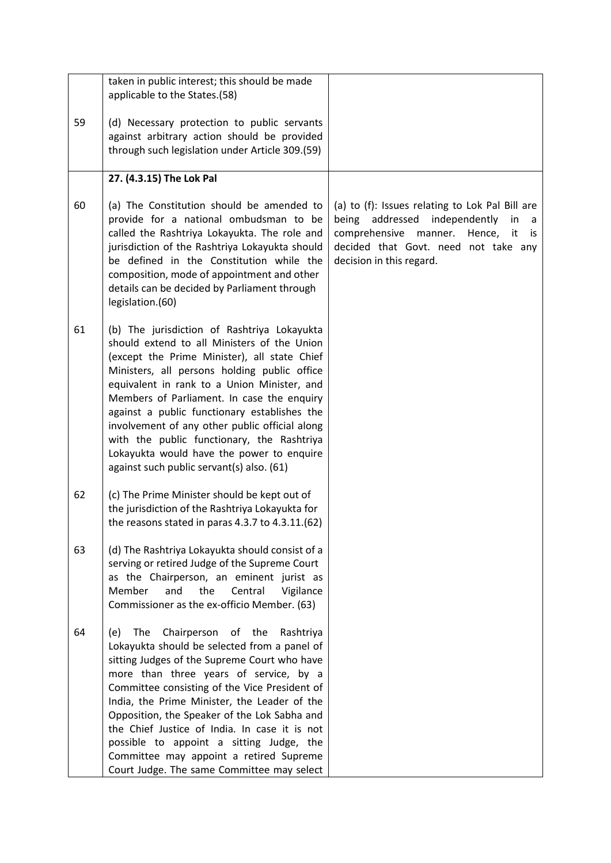|    | taken in public interest; this should be made<br>applicable to the States.(58)                                                                                                                                                                                                                                                                                                                                                                                                                                                    |                                                                                                                                                                                                                      |
|----|-----------------------------------------------------------------------------------------------------------------------------------------------------------------------------------------------------------------------------------------------------------------------------------------------------------------------------------------------------------------------------------------------------------------------------------------------------------------------------------------------------------------------------------|----------------------------------------------------------------------------------------------------------------------------------------------------------------------------------------------------------------------|
| 59 | (d) Necessary protection to public servants<br>against arbitrary action should be provided<br>through such legislation under Article 309.(59)                                                                                                                                                                                                                                                                                                                                                                                     |                                                                                                                                                                                                                      |
|    | 27. (4.3.15) The Lok Pal                                                                                                                                                                                                                                                                                                                                                                                                                                                                                                          |                                                                                                                                                                                                                      |
| 60 | (a) The Constitution should be amended to<br>provide for a national ombudsman to be<br>called the Rashtriya Lokayukta. The role and<br>jurisdiction of the Rashtriya Lokayukta should<br>be defined in the Constitution while the<br>composition, mode of appointment and other<br>details can be decided by Parliament through<br>legislation.(60)                                                                                                                                                                               | (a) to (f): Issues relating to Lok Pal Bill are<br>being addressed<br>independently<br>in<br>a<br>comprehensive<br>manner.<br>Hence,<br>it<br>is<br>decided that Govt. need not take any<br>decision in this regard. |
| 61 | (b) The jurisdiction of Rashtriya Lokayukta<br>should extend to all Ministers of the Union<br>(except the Prime Minister), all state Chief<br>Ministers, all persons holding public office<br>equivalent in rank to a Union Minister, and<br>Members of Parliament. In case the enquiry<br>against a public functionary establishes the<br>involvement of any other public official along<br>with the public functionary, the Rashtriya<br>Lokayukta would have the power to enquire<br>against such public servant(s) also. (61) |                                                                                                                                                                                                                      |
| 62 | (c) The Prime Minister should be kept out of<br>the jurisdiction of the Rashtriya Lokayukta for<br>the reasons stated in paras 4.3.7 to 4.3.11.(62)                                                                                                                                                                                                                                                                                                                                                                               |                                                                                                                                                                                                                      |
| 63 | (d) The Rashtriya Lokayukta should consist of a<br>serving or retired Judge of the Supreme Court<br>as the Chairperson, an eminent jurist as<br>Member<br>the<br>and<br>Central<br>Vigilance<br>Commissioner as the ex-officio Member. (63)                                                                                                                                                                                                                                                                                       |                                                                                                                                                                                                                      |
| 64 | Chairperson of the<br>The<br>(e)<br>Rashtriya<br>Lokayukta should be selected from a panel of<br>sitting Judges of the Supreme Court who have<br>more than three years of service, by a<br>Committee consisting of the Vice President of<br>India, the Prime Minister, the Leader of the<br>Opposition, the Speaker of the Lok Sabha and<br>the Chief Justice of India. In case it is not<br>possible to appoint a sitting Judge, the<br>Committee may appoint a retired Supreme<br>Court Judge. The same Committee may select    |                                                                                                                                                                                                                      |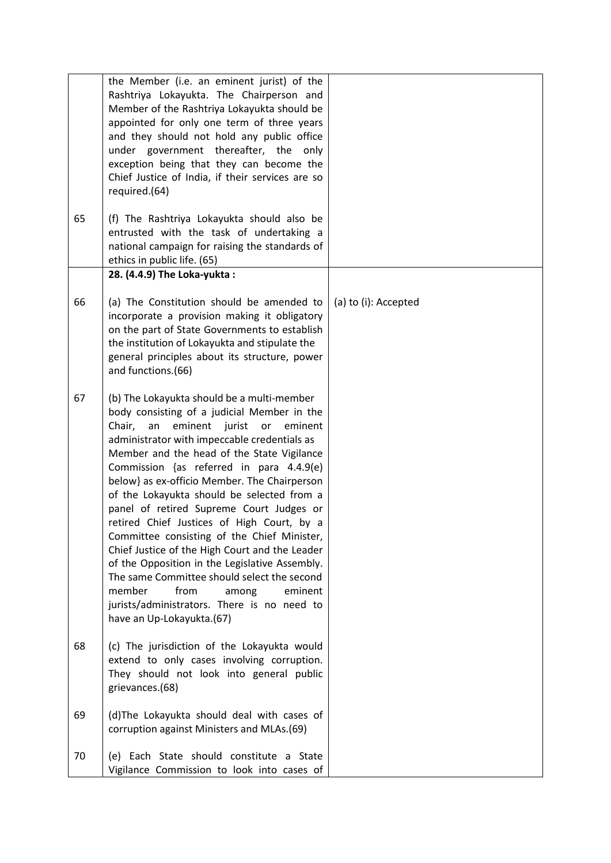|    | the Member (i.e. an eminent jurist) of the<br>Rashtriya Lokayukta. The Chairperson and<br>Member of the Rashtriya Lokayukta should be<br>appointed for only one term of three years<br>and they should not hold any public office<br>under government thereafter, the only<br>exception being that they can become the<br>Chief Justice of India, if their services are so<br>required.(64)                                                                                                                                                                                                                                                                                                                                                                                                           |                      |
|----|-------------------------------------------------------------------------------------------------------------------------------------------------------------------------------------------------------------------------------------------------------------------------------------------------------------------------------------------------------------------------------------------------------------------------------------------------------------------------------------------------------------------------------------------------------------------------------------------------------------------------------------------------------------------------------------------------------------------------------------------------------------------------------------------------------|----------------------|
| 65 | (f) The Rashtriya Lokayukta should also be<br>entrusted with the task of undertaking a<br>national campaign for raising the standards of<br>ethics in public life. (65)                                                                                                                                                                                                                                                                                                                                                                                                                                                                                                                                                                                                                               |                      |
|    | 28. (4.4.9) The Loka-yukta:                                                                                                                                                                                                                                                                                                                                                                                                                                                                                                                                                                                                                                                                                                                                                                           |                      |
| 66 | (a) The Constitution should be amended to<br>incorporate a provision making it obligatory<br>on the part of State Governments to establish<br>the institution of Lokayukta and stipulate the<br>general principles about its structure, power<br>and functions.(66)                                                                                                                                                                                                                                                                                                                                                                                                                                                                                                                                   | (a) to (i): Accepted |
| 67 | (b) The Lokayukta should be a multi-member<br>body consisting of a judicial Member in the<br>Chair,<br>eminent<br>jurist<br>an<br>or<br>eminent<br>administrator with impeccable credentials as<br>Member and the head of the State Vigilance<br>Commission {as referred in para 4.4.9(e)<br>below} as ex-officio Member. The Chairperson<br>of the Lokayukta should be selected from a<br>panel of retired Supreme Court Judges or<br>retired Chief Justices of High Court, by a<br>Committee consisting of the Chief Minister,<br>Chief Justice of the High Court and the Leader<br>of the Opposition in the Legislative Assembly.<br>The same Committee should select the second<br>from<br>member<br>eminent<br>among<br>jurists/administrators. There is no need to<br>have an Up-Lokayukta.(67) |                      |
| 68 | (c) The jurisdiction of the Lokayukta would<br>extend to only cases involving corruption.<br>They should not look into general public<br>grievances.(68)                                                                                                                                                                                                                                                                                                                                                                                                                                                                                                                                                                                                                                              |                      |
| 69 | (d) The Lokayukta should deal with cases of<br>corruption against Ministers and MLAs.(69)                                                                                                                                                                                                                                                                                                                                                                                                                                                                                                                                                                                                                                                                                                             |                      |
| 70 | (e) Each State should constitute a State<br>Vigilance Commission to look into cases of                                                                                                                                                                                                                                                                                                                                                                                                                                                                                                                                                                                                                                                                                                                |                      |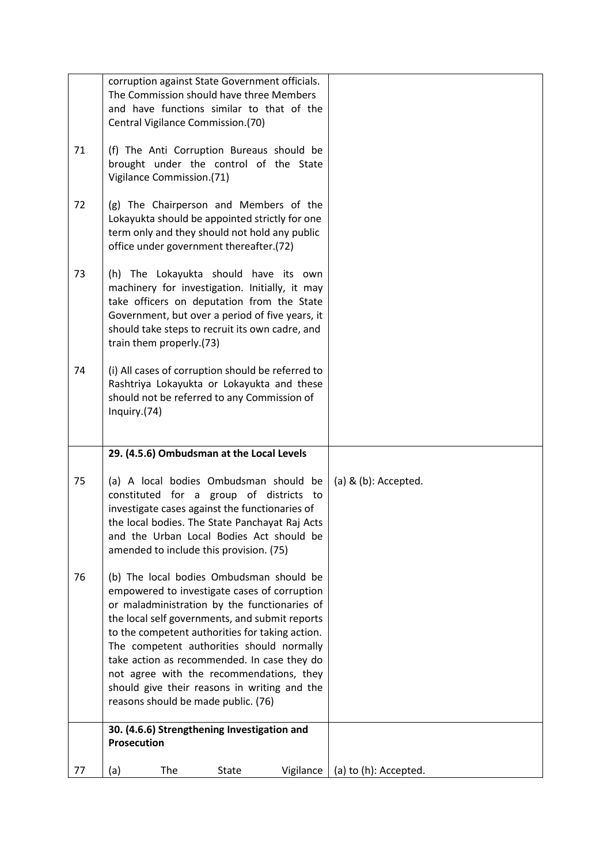|    | corruption against State Government officials.<br>The Commission should have three Members<br>and have functions similar to that of the                                                                                                                                                                                                                                                                                                                                      |                        |
|----|------------------------------------------------------------------------------------------------------------------------------------------------------------------------------------------------------------------------------------------------------------------------------------------------------------------------------------------------------------------------------------------------------------------------------------------------------------------------------|------------------------|
| 71 | Central Vigilance Commission.(70)<br>(f) The Anti Corruption Bureaus should be<br>brought under the control of the State<br>Vigilance Commission.(71)                                                                                                                                                                                                                                                                                                                        |                        |
| 72 | (g) The Chairperson and Members of the<br>Lokayukta should be appointed strictly for one<br>term only and they should not hold any public<br>office under government thereafter.(72)                                                                                                                                                                                                                                                                                         |                        |
| 73 | (h) The Lokayukta should have its own<br>machinery for investigation. Initially, it may<br>take officers on deputation from the State<br>Government, but over a period of five years, it<br>should take steps to recruit its own cadre, and<br>train them properly.(73)                                                                                                                                                                                                      |                        |
| 74 | (i) All cases of corruption should be referred to<br>Rashtriya Lokayukta or Lokayukta and these<br>should not be referred to any Commission of<br>Inquiry.(74)                                                                                                                                                                                                                                                                                                               |                        |
|    | 29. (4.5.6) Ombudsman at the Local Levels                                                                                                                                                                                                                                                                                                                                                                                                                                    |                        |
| 75 | (a) A local bodies Ombudsman should be<br>constituted for a group of districts to<br>investigate cases against the functionaries of<br>the local bodies. The State Panchayat Raj Acts<br>and the Urban Local Bodies Act should be<br>amended to include this provision. (75)                                                                                                                                                                                                 | (a) $&$ (b): Accepted. |
| 76 | (b) The local bodies Ombudsman should be<br>empowered to investigate cases of corruption<br>or maladministration by the functionaries of<br>the local self governments, and submit reports<br>to the competent authorities for taking action.<br>The competent authorities should normally<br>take action as recommended. In case they do<br>not agree with the recommendations, they<br>should give their reasons in writing and the<br>reasons should be made public. (76) |                        |
|    | 30. (4.6.6) Strengthening Investigation and<br>Prosecution                                                                                                                                                                                                                                                                                                                                                                                                                   |                        |
| 77 | (a)<br>The<br><b>State</b><br>Vigilance                                                                                                                                                                                                                                                                                                                                                                                                                                      | (a) to (h): Accepted.  |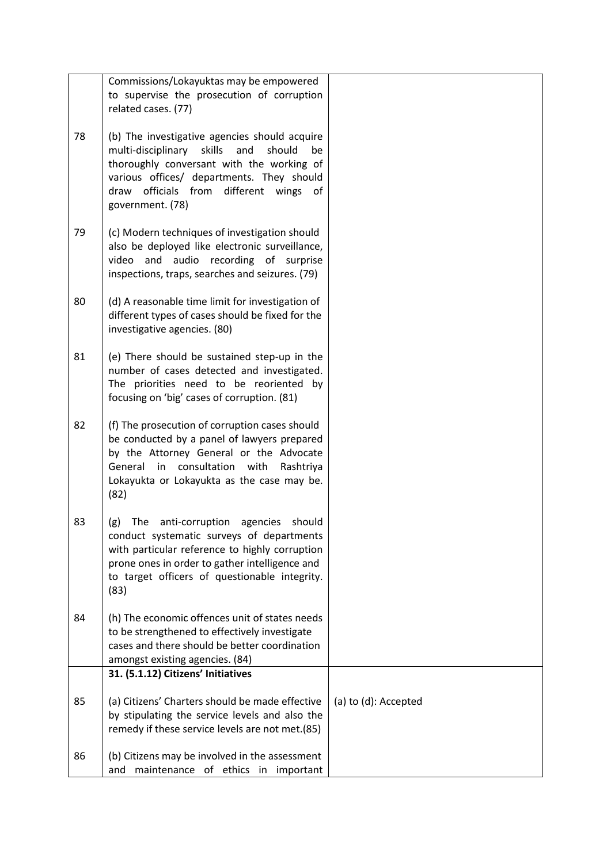|    | Commissions/Lokayuktas may be empowered                                                                                                                                                                                                                            |                      |
|----|--------------------------------------------------------------------------------------------------------------------------------------------------------------------------------------------------------------------------------------------------------------------|----------------------|
|    | to supervise the prosecution of corruption                                                                                                                                                                                                                         |                      |
|    | related cases. (77)                                                                                                                                                                                                                                                |                      |
| 78 | (b) The investigative agencies should acquire<br>skills<br>multi-disciplinary<br>and<br>should<br>be<br>thoroughly conversant with the working of<br>various offices/ departments. They should<br>draw officials from<br>different wings<br>of<br>government. (78) |                      |
| 79 | (c) Modern techniques of investigation should<br>also be deployed like electronic surveillance,<br>video and audio recording of surprise<br>inspections, traps, searches and seizures. (79)                                                                        |                      |
| 80 | (d) A reasonable time limit for investigation of<br>different types of cases should be fixed for the<br>investigative agencies. (80)                                                                                                                               |                      |
| 81 | (e) There should be sustained step-up in the<br>number of cases detected and investigated.<br>The priorities need to be reoriented by<br>focusing on 'big' cases of corruption. (81)                                                                               |                      |
| 82 | (f) The prosecution of corruption cases should<br>be conducted by a panel of lawyers prepared<br>by the Attorney General or the Advocate<br>consultation<br>General in<br>with<br>Rashtriya<br>Lokayukta or Lokayukta as the case may be.<br>(82)                  |                      |
| 83 | anti-corruption<br>should<br>The<br>agencies<br>(g)<br>conduct systematic surveys of departments<br>with particular reference to highly corruption<br>prone ones in order to gather intelligence and<br>to target officers of questionable integrity.<br>(83)      |                      |
| 84 | (h) The economic offences unit of states needs<br>to be strengthened to effectively investigate<br>cases and there should be better coordination<br>amongst existing agencies. (84)                                                                                |                      |
|    | 31. (5.1.12) Citizens' Initiatives                                                                                                                                                                                                                                 |                      |
| 85 | (a) Citizens' Charters should be made effective<br>by stipulating the service levels and also the<br>remedy if these service levels are not met.(85)                                                                                                               | (a) to (d): Accepted |
| 86 | (b) Citizens may be involved in the assessment<br>maintenance of ethics in important<br>and                                                                                                                                                                        |                      |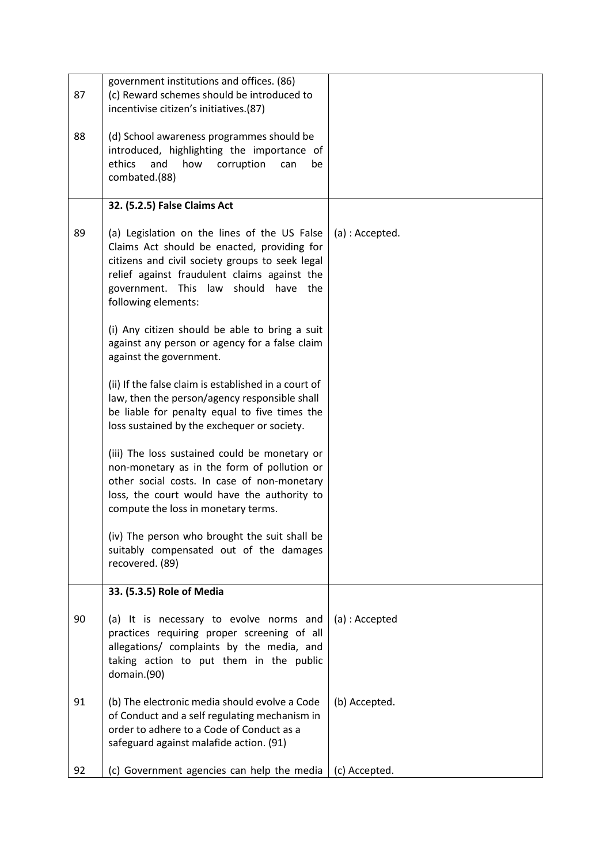| 87 | government institutions and offices. (86)<br>(c) Reward schemes should be introduced to<br>incentivise citizen's initiatives.(87)                                                                                                                                |                 |
|----|------------------------------------------------------------------------------------------------------------------------------------------------------------------------------------------------------------------------------------------------------------------|-----------------|
| 88 | (d) School awareness programmes should be<br>introduced, highlighting the importance of<br>and<br>ethics<br>how<br>corruption<br>can<br>be<br>combated.(88)                                                                                                      |                 |
|    | 32. (5.2.5) False Claims Act                                                                                                                                                                                                                                     |                 |
| 89 | (a) Legislation on the lines of the US False<br>Claims Act should be enacted, providing for<br>citizens and civil society groups to seek legal<br>relief against fraudulent claims against the<br>government. This law should<br>have the<br>following elements: | (a) : Accepted. |
|    | (i) Any citizen should be able to bring a suit<br>against any person or agency for a false claim<br>against the government.                                                                                                                                      |                 |
|    | (ii) If the false claim is established in a court of<br>law, then the person/agency responsible shall<br>be liable for penalty equal to five times the<br>loss sustained by the exchequer or society.                                                            |                 |
|    | (iii) The loss sustained could be monetary or<br>non-monetary as in the form of pollution or<br>other social costs. In case of non-monetary<br>loss, the court would have the authority to<br>compute the loss in monetary terms.                                |                 |
|    | (iv) The person who brought the suit shall be<br>suitably compensated out of the damages<br>recovered. (89)                                                                                                                                                      |                 |
|    | 33. (5.3.5) Role of Media                                                                                                                                                                                                                                        |                 |
| 90 | (a) It is necessary to evolve norms and<br>practices requiring proper screening of all<br>allegations/ complaints by the media, and<br>taking action to put them in the public<br>domain.(90)                                                                    | (a) : Accepted  |
| 91 | (b) The electronic media should evolve a Code<br>of Conduct and a self regulating mechanism in<br>order to adhere to a Code of Conduct as a<br>safeguard against malafide action. (91)                                                                           | (b) Accepted.   |
| 92 | (c) Government agencies can help the media                                                                                                                                                                                                                       | (c) Accepted.   |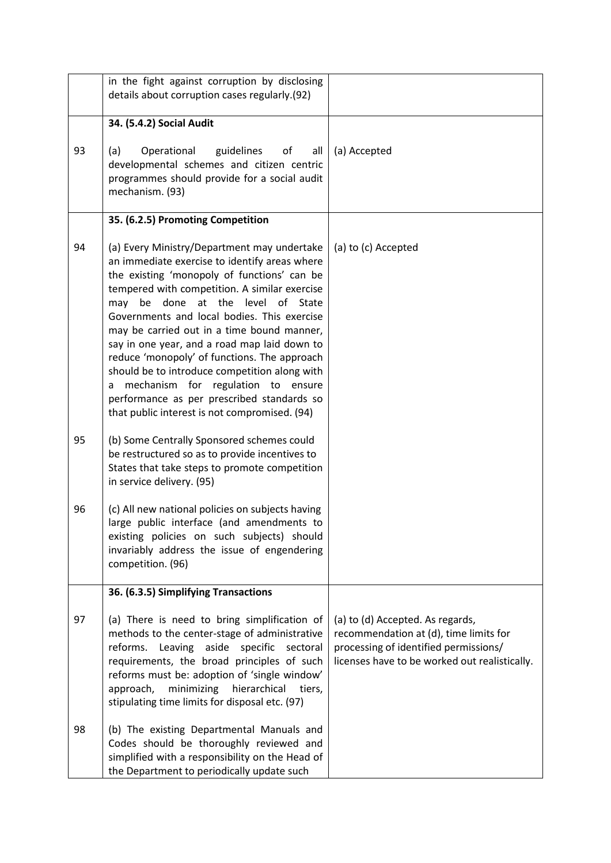|    | in the fight against corruption by disclosing<br>details about corruption cases regularly.(92)                                                                                                                                                                                                                                                                                                                                                                                                                                                                                                                                  |                                                                                                                                                                      |
|----|---------------------------------------------------------------------------------------------------------------------------------------------------------------------------------------------------------------------------------------------------------------------------------------------------------------------------------------------------------------------------------------------------------------------------------------------------------------------------------------------------------------------------------------------------------------------------------------------------------------------------------|----------------------------------------------------------------------------------------------------------------------------------------------------------------------|
|    | 34. (5.4.2) Social Audit                                                                                                                                                                                                                                                                                                                                                                                                                                                                                                                                                                                                        |                                                                                                                                                                      |
| 93 | (a)<br>Operational<br>guidelines<br>of<br>all<br>developmental schemes and citizen centric<br>programmes should provide for a social audit<br>mechanism. (93)                                                                                                                                                                                                                                                                                                                                                                                                                                                                   | (a) Accepted                                                                                                                                                         |
|    | 35. (6.2.5) Promoting Competition                                                                                                                                                                                                                                                                                                                                                                                                                                                                                                                                                                                               |                                                                                                                                                                      |
| 94 | (a) Every Ministry/Department may undertake<br>an immediate exercise to identify areas where<br>the existing 'monopoly of functions' can be<br>tempered with competition. A similar exercise<br>be done<br>at the level of State<br>may<br>Governments and local bodies. This exercise<br>may be carried out in a time bound manner,<br>say in one year, and a road map laid down to<br>reduce 'monopoly' of functions. The approach<br>should be to introduce competition along with<br>mechanism for regulation to ensure<br>a<br>performance as per prescribed standards so<br>that public interest is not compromised. (94) | (a) to (c) Accepted                                                                                                                                                  |
| 95 | (b) Some Centrally Sponsored schemes could<br>be restructured so as to provide incentives to<br>States that take steps to promote competition<br>in service delivery. (95)                                                                                                                                                                                                                                                                                                                                                                                                                                                      |                                                                                                                                                                      |
| 96 | (c) All new national policies on subjects having<br>large public interface (and amendments to<br>existing policies on such subjects) should<br>invariably address the issue of engendering<br>competition. (96)                                                                                                                                                                                                                                                                                                                                                                                                                 |                                                                                                                                                                      |
|    | 36. (6.3.5) Simplifying Transactions                                                                                                                                                                                                                                                                                                                                                                                                                                                                                                                                                                                            |                                                                                                                                                                      |
| 97 | (a) There is need to bring simplification of<br>methods to the center-stage of administrative<br>reforms. Leaving aside specific sectoral<br>requirements, the broad principles of such<br>reforms must be: adoption of 'single window'<br>approach,<br>minimizing<br>hierarchical<br>tiers,<br>stipulating time limits for disposal etc. (97)                                                                                                                                                                                                                                                                                  | (a) to (d) Accepted. As regards,<br>recommendation at (d), time limits for<br>processing of identified permissions/<br>licenses have to be worked out realistically. |
| 98 | (b) The existing Departmental Manuals and<br>Codes should be thoroughly reviewed and<br>simplified with a responsibility on the Head of<br>the Department to periodically update such                                                                                                                                                                                                                                                                                                                                                                                                                                           |                                                                                                                                                                      |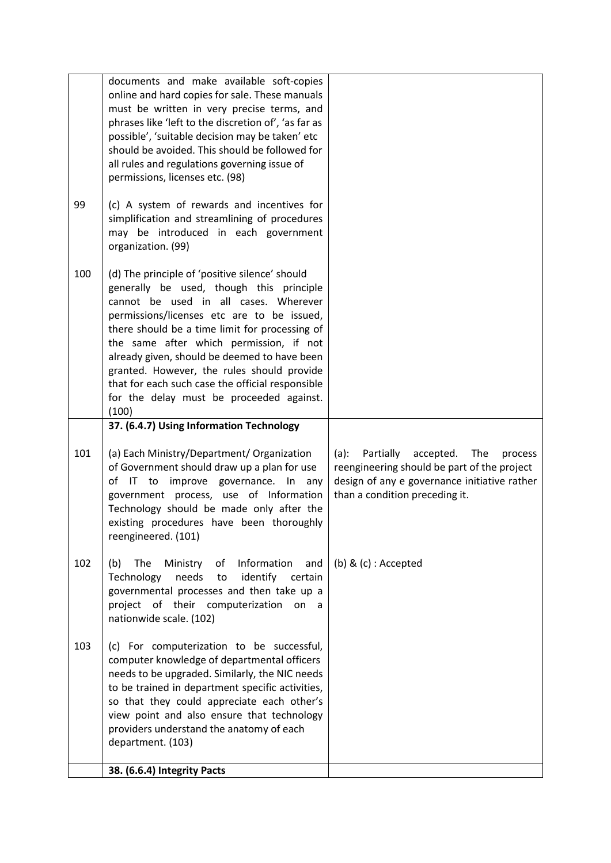| 99  | documents and make available soft-copies<br>online and hard copies for sale. These manuals<br>must be written in very precise terms, and<br>phrases like 'left to the discretion of', 'as far as<br>possible', 'suitable decision may be taken' etc<br>should be avoided. This should be followed for<br>all rules and regulations governing issue of<br>permissions, licenses etc. (98)<br>(c) A system of rewards and incentives for                                                                                            |                                                                                                                               |
|-----|-----------------------------------------------------------------------------------------------------------------------------------------------------------------------------------------------------------------------------------------------------------------------------------------------------------------------------------------------------------------------------------------------------------------------------------------------------------------------------------------------------------------------------------|-------------------------------------------------------------------------------------------------------------------------------|
|     | simplification and streamlining of procedures<br>may be introduced in each government<br>organization. (99)                                                                                                                                                                                                                                                                                                                                                                                                                       |                                                                                                                               |
| 100 | (d) The principle of 'positive silence' should<br>generally be used, though this principle<br>cannot be used in all cases. Wherever<br>permissions/licenses etc are to be issued,<br>there should be a time limit for processing of<br>the same after which permission, if not<br>already given, should be deemed to have been<br>granted. However, the rules should provide<br>that for each such case the official responsible<br>for the delay must be proceeded against.<br>(100)<br>37. (6.4.7) Using Information Technology |                                                                                                                               |
| 101 | (a) Each Ministry/Department/ Organization                                                                                                                                                                                                                                                                                                                                                                                                                                                                                        | $(a)$ :<br>Partially<br>accepted.<br>The<br>process                                                                           |
|     | of Government should draw up a plan for use<br>of IT to<br>improve governance. In<br>any<br>government process, use of Information<br>Technology should be made only after the<br>existing procedures have been thoroughly<br>reengineered. (101)                                                                                                                                                                                                                                                                                 | reengineering should be part of the project<br>design of any e governance initiative rather<br>than a condition preceding it. |
| 102 | (b)<br>The<br>Ministry<br>Information<br>of<br>and<br>Technology<br>needs<br>identify<br>certain<br>to<br>governmental processes and then take up a<br>project of their computerization<br>on<br>a<br>nationwide scale. (102)                                                                                                                                                                                                                                                                                                     | $(b)$ & $(c)$ : Accepted                                                                                                      |
| 103 | (c) For computerization to be successful,<br>computer knowledge of departmental officers<br>needs to be upgraded. Similarly, the NIC needs<br>to be trained in department specific activities,<br>so that they could appreciate each other's<br>view point and also ensure that technology<br>providers understand the anatomy of each<br>department. (103)                                                                                                                                                                       |                                                                                                                               |
|     | 38. (6.6.4) Integrity Pacts                                                                                                                                                                                                                                                                                                                                                                                                                                                                                                       |                                                                                                                               |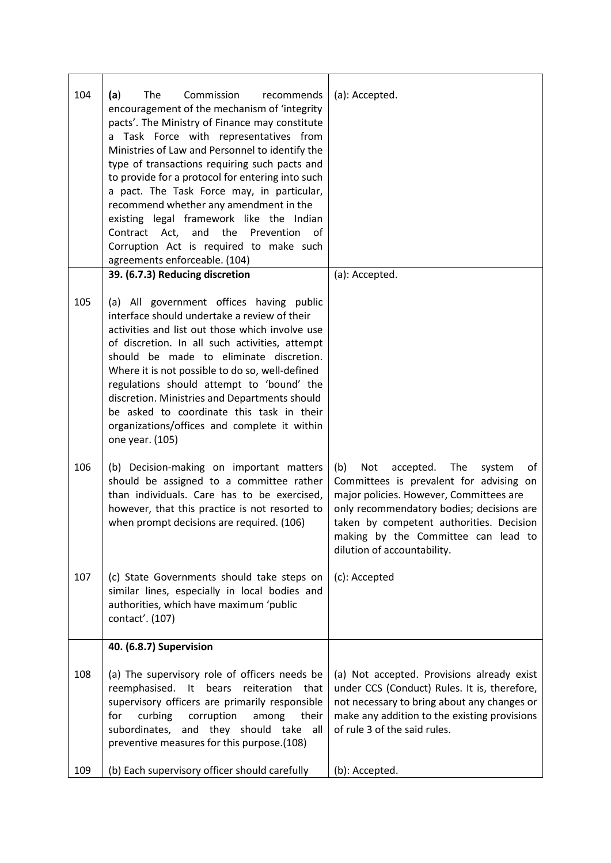| 104 | The<br>Commission<br>(a)<br>recommends<br>encouragement of the mechanism of 'integrity<br>pacts'. The Ministry of Finance may constitute<br>a Task Force with representatives from<br>Ministries of Law and Personnel to identify the<br>type of transactions requiring such pacts and<br>to provide for a protocol for entering into such<br>a pact. The Task Force may, in particular,<br>recommend whether any amendment in the<br>existing legal framework like the Indian<br>Contract Act, and<br>the<br>Prevention of<br>Corruption Act is required to make such<br>agreements enforceable. (104) | (a): Accepted.                                                                                                                                                                                                                                                                                      |
|-----|---------------------------------------------------------------------------------------------------------------------------------------------------------------------------------------------------------------------------------------------------------------------------------------------------------------------------------------------------------------------------------------------------------------------------------------------------------------------------------------------------------------------------------------------------------------------------------------------------------|-----------------------------------------------------------------------------------------------------------------------------------------------------------------------------------------------------------------------------------------------------------------------------------------------------|
|     | 39. (6.7.3) Reducing discretion                                                                                                                                                                                                                                                                                                                                                                                                                                                                                                                                                                         | (a): Accepted.                                                                                                                                                                                                                                                                                      |
| 105 | (a) All government offices having public<br>interface should undertake a review of their<br>activities and list out those which involve use<br>of discretion. In all such activities, attempt<br>should be made to eliminate discretion.<br>Where it is not possible to do so, well-defined<br>regulations should attempt to 'bound' the<br>discretion. Ministries and Departments should<br>be asked to coordinate this task in their<br>organizations/offices and complete it within<br>one year. (105)                                                                                               |                                                                                                                                                                                                                                                                                                     |
| 106 | (b) Decision-making on important matters<br>should be assigned to a committee rather<br>than individuals. Care has to be exercised,<br>however, that this practice is not resorted to<br>when prompt decisions are required. (106)                                                                                                                                                                                                                                                                                                                                                                      | The<br>(b)<br>Not<br>accepted.<br>system<br>οf<br>Committees is prevalent for advising on<br>major policies. However, Committees are<br>only recommendatory bodies; decisions are<br>taken by competent authorities. Decision<br>making by the Committee can lead to<br>dilution of accountability. |
| 107 | (c) State Governments should take steps on<br>similar lines, especially in local bodies and<br>authorities, which have maximum 'public<br>contact'. (107)                                                                                                                                                                                                                                                                                                                                                                                                                                               | (c): Accepted                                                                                                                                                                                                                                                                                       |
|     | 40. (6.8.7) Supervision                                                                                                                                                                                                                                                                                                                                                                                                                                                                                                                                                                                 |                                                                                                                                                                                                                                                                                                     |
| 108 | (a) The supervisory role of officers needs be<br>reemphasised.<br>bears reiteration that<br>$-$ It<br>supervisory officers are primarily responsible<br>curbing<br>corruption<br>for<br>among<br>their<br>subordinates,<br>and they should take<br>all<br>preventive measures for this purpose.(108)                                                                                                                                                                                                                                                                                                    | (a) Not accepted. Provisions already exist<br>under CCS (Conduct) Rules. It is, therefore,<br>not necessary to bring about any changes or<br>make any addition to the existing provisions<br>of rule 3 of the said rules.                                                                           |
| 109 | (b) Each supervisory officer should carefully                                                                                                                                                                                                                                                                                                                                                                                                                                                                                                                                                           | (b): Accepted.                                                                                                                                                                                                                                                                                      |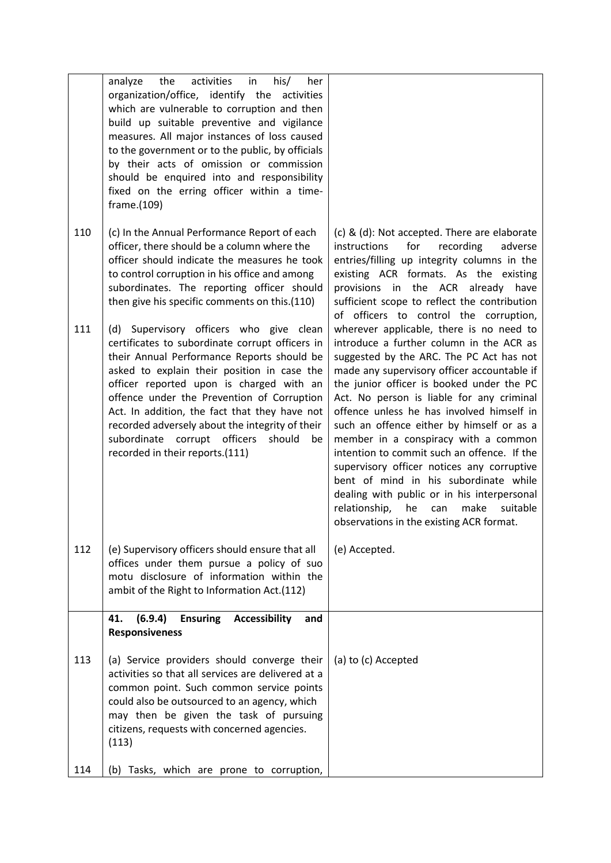|     | activities in<br>his/<br>analyze<br>the<br>her<br>organization/office, identify the activities<br>which are vulnerable to corruption and then<br>build up suitable preventive and vigilance<br>measures. All major instances of loss caused<br>to the government or to the public, by officials<br>by their acts of omission or commission<br>should be enquired into and responsibility<br>fixed on the erring officer within a time-<br>frame.(109)                    |                                                                                                                                                                                                                                                                                                                                                                                                                                                                                                                                                                                                                                                                                                |
|-----|--------------------------------------------------------------------------------------------------------------------------------------------------------------------------------------------------------------------------------------------------------------------------------------------------------------------------------------------------------------------------------------------------------------------------------------------------------------------------|------------------------------------------------------------------------------------------------------------------------------------------------------------------------------------------------------------------------------------------------------------------------------------------------------------------------------------------------------------------------------------------------------------------------------------------------------------------------------------------------------------------------------------------------------------------------------------------------------------------------------------------------------------------------------------------------|
| 110 | (c) In the Annual Performance Report of each<br>officer, there should be a column where the<br>officer should indicate the measures he took<br>to control corruption in his office and among<br>subordinates. The reporting officer should<br>then give his specific comments on this.(110)                                                                                                                                                                              | (c) & (d): Not accepted. There are elaborate<br>for<br>instructions<br>recording<br>adverse<br>entries/filling up integrity columns in the<br>existing ACR formats. As the existing<br>provisions in the ACR already have<br>sufficient scope to reflect the contribution<br>of officers to control the corruption,                                                                                                                                                                                                                                                                                                                                                                            |
| 111 | (d) Supervisory officers who give clean<br>certificates to subordinate corrupt officers in<br>their Annual Performance Reports should be<br>asked to explain their position in case the<br>officer reported upon is charged with an<br>offence under the Prevention of Corruption<br>Act. In addition, the fact that they have not<br>recorded adversely about the integrity of their<br>subordinate corrupt officers<br>should<br>be<br>recorded in their reports.(111) | wherever applicable, there is no need to<br>introduce a further column in the ACR as<br>suggested by the ARC. The PC Act has not<br>made any supervisory officer accountable if<br>the junior officer is booked under the PC<br>Act. No person is liable for any criminal<br>offence unless he has involved himself in<br>such an offence either by himself or as a<br>member in a conspiracy with a common<br>intention to commit such an offence. If the<br>supervisory officer notices any corruptive<br>bent of mind in his subordinate while<br>dealing with public or in his interpersonal<br>relationship,<br>he<br>make<br>suitable<br>can<br>observations in the existing ACR format. |
| 112 | (e) Supervisory officers should ensure that all<br>offices under them pursue a policy of suo<br>motu disclosure of information within the<br>ambit of the Right to Information Act.(112)                                                                                                                                                                                                                                                                                 | (e) Accepted.                                                                                                                                                                                                                                                                                                                                                                                                                                                                                                                                                                                                                                                                                  |
|     | <b>Ensuring</b><br>41.<br>(6.9.4)<br><b>Accessibility</b><br>and<br><b>Responsiveness</b>                                                                                                                                                                                                                                                                                                                                                                                |                                                                                                                                                                                                                                                                                                                                                                                                                                                                                                                                                                                                                                                                                                |
| 113 | (a) Service providers should converge their<br>activities so that all services are delivered at a<br>common point. Such common service points<br>could also be outsourced to an agency, which<br>may then be given the task of pursuing<br>citizens, requests with concerned agencies.<br>(113)                                                                                                                                                                          | (a) to (c) Accepted                                                                                                                                                                                                                                                                                                                                                                                                                                                                                                                                                                                                                                                                            |
| 114 | (b) Tasks, which are prone to corruption,                                                                                                                                                                                                                                                                                                                                                                                                                                |                                                                                                                                                                                                                                                                                                                                                                                                                                                                                                                                                                                                                                                                                                |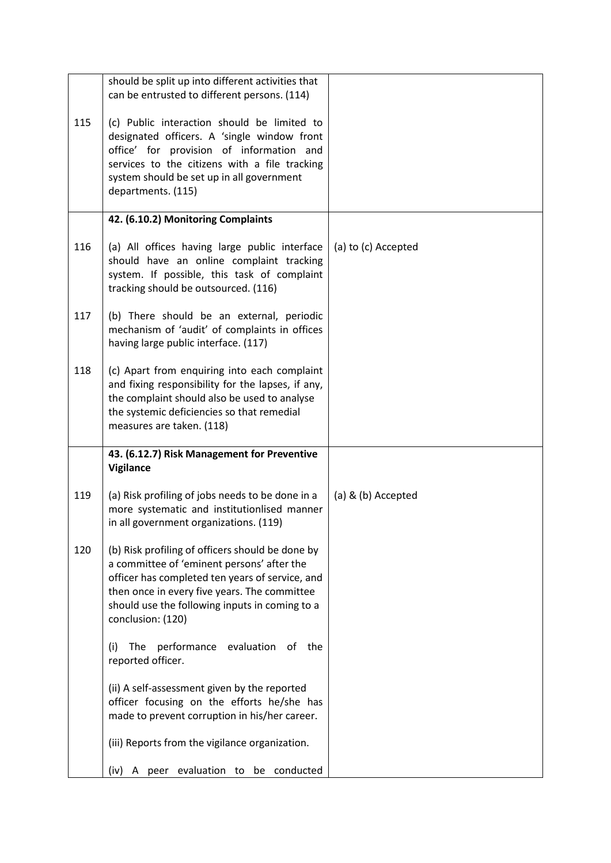|     | should be split up into different activities that<br>can be entrusted to different persons. (114)                                                                                                                                                                        |                     |
|-----|--------------------------------------------------------------------------------------------------------------------------------------------------------------------------------------------------------------------------------------------------------------------------|---------------------|
| 115 | (c) Public interaction should be limited to<br>designated officers. A 'single window front<br>office' for provision of information and<br>services to the citizens with a file tracking<br>system should be set up in all government<br>departments. (115)               |                     |
|     | 42. (6.10.2) Monitoring Complaints                                                                                                                                                                                                                                       |                     |
| 116 | (a) All offices having large public interface<br>should have an online complaint tracking<br>system. If possible, this task of complaint<br>tracking should be outsourced. (116)                                                                                         | (a) to (c) Accepted |
| 117 | (b) There should be an external, periodic<br>mechanism of 'audit' of complaints in offices<br>having large public interface. (117)                                                                                                                                       |                     |
| 118 | (c) Apart from enquiring into each complaint<br>and fixing responsibility for the lapses, if any,<br>the complaint should also be used to analyse<br>the systemic deficiencies so that remedial<br>measures are taken. (118)                                             |                     |
|     | 43. (6.12.7) Risk Management for Preventive<br>Vigilance                                                                                                                                                                                                                 |                     |
| 119 | (a) Risk profiling of jobs needs to be done in a<br>more systematic and institutionlised manner<br>in all government organizations. (119)                                                                                                                                | (a) & (b) Accepted  |
| 120 | (b) Risk profiling of officers should be done by<br>a committee of 'eminent persons' after the<br>officer has completed ten years of service, and<br>then once in every five years. The committee<br>should use the following inputs in coming to a<br>conclusion: (120) |                     |
|     | performance evaluation of<br>(i)<br>The<br>the<br>reported officer.                                                                                                                                                                                                      |                     |
|     | (ii) A self-assessment given by the reported<br>officer focusing on the efforts he/she has<br>made to prevent corruption in his/her career.                                                                                                                              |                     |
|     | (iii) Reports from the vigilance organization.                                                                                                                                                                                                                           |                     |
|     | A peer evaluation to be conducted<br>(iv)                                                                                                                                                                                                                                |                     |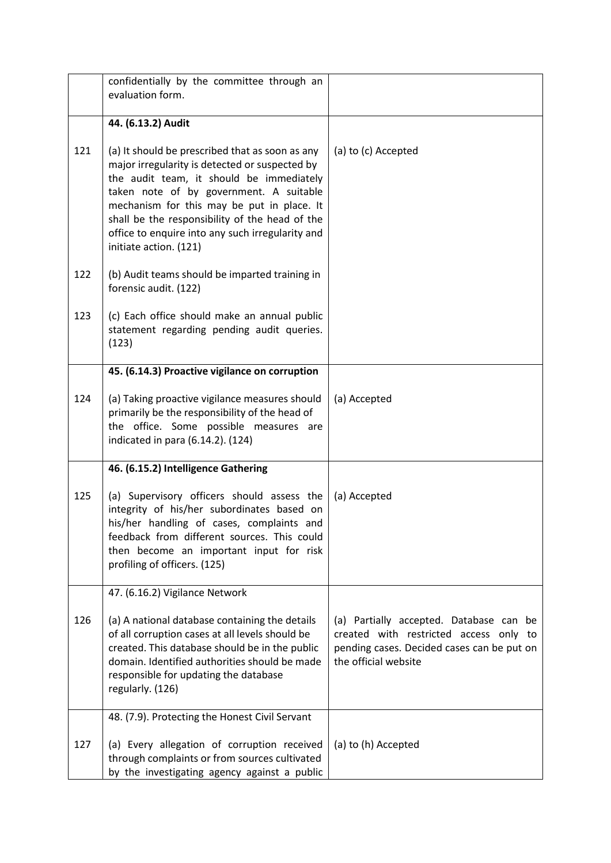|     | confidentially by the committee through an<br>evaluation form.                                                                                                                                                                                                                                                                                                         |                                                                                                                                                         |
|-----|------------------------------------------------------------------------------------------------------------------------------------------------------------------------------------------------------------------------------------------------------------------------------------------------------------------------------------------------------------------------|---------------------------------------------------------------------------------------------------------------------------------------------------------|
|     | 44. (6.13.2) Audit                                                                                                                                                                                                                                                                                                                                                     |                                                                                                                                                         |
| 121 | (a) It should be prescribed that as soon as any<br>major irregularity is detected or suspected by<br>the audit team, it should be immediately<br>taken note of by government. A suitable<br>mechanism for this may be put in place. It<br>shall be the responsibility of the head of the<br>office to enquire into any such irregularity and<br>initiate action. (121) | (a) to (c) Accepted                                                                                                                                     |
| 122 | (b) Audit teams should be imparted training in<br>forensic audit. (122)                                                                                                                                                                                                                                                                                                |                                                                                                                                                         |
| 123 | (c) Each office should make an annual public<br>statement regarding pending audit queries.<br>(123)                                                                                                                                                                                                                                                                    |                                                                                                                                                         |
|     | 45. (6.14.3) Proactive vigilance on corruption                                                                                                                                                                                                                                                                                                                         |                                                                                                                                                         |
| 124 | (a) Taking proactive vigilance measures should<br>primarily be the responsibility of the head of<br>the office. Some possible measures are<br>indicated in para (6.14.2). (124)                                                                                                                                                                                        | (a) Accepted                                                                                                                                            |
|     | 46. (6.15.2) Intelligence Gathering                                                                                                                                                                                                                                                                                                                                    |                                                                                                                                                         |
| 125 | (a) Supervisory officers should assess the<br>integrity of his/her subordinates based on<br>his/her handling of cases, complaints and<br>feedback from different sources. This could<br>then become an important input for risk<br>profiling of officers. (125)                                                                                                        | (a) Accepted                                                                                                                                            |
|     | 47. (6.16.2) Vigilance Network                                                                                                                                                                                                                                                                                                                                         |                                                                                                                                                         |
| 126 | (a) A national database containing the details<br>of all corruption cases at all levels should be<br>created. This database should be in the public<br>domain. Identified authorities should be made<br>responsible for updating the database<br>regularly. (126)                                                                                                      | (a) Partially accepted. Database can be<br>created with restricted access only to<br>pending cases. Decided cases can be put on<br>the official website |
|     | 48. (7.9). Protecting the Honest Civil Servant                                                                                                                                                                                                                                                                                                                         |                                                                                                                                                         |
| 127 | (a) Every allegation of corruption received<br>through complaints or from sources cultivated<br>by the investigating agency against a public                                                                                                                                                                                                                           | (a) to (h) Accepted                                                                                                                                     |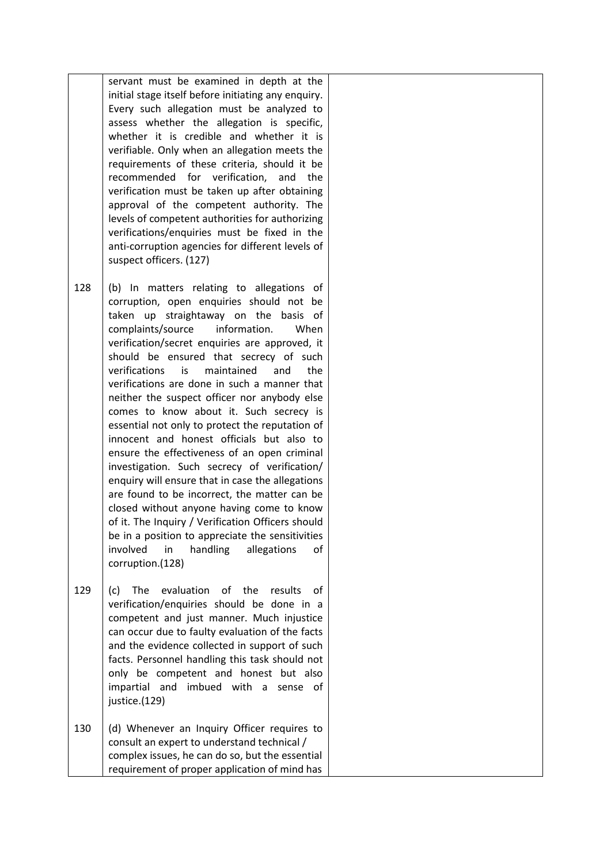servant must be examined in depth at the initial stage itself before initiating any enquiry. Every such allegation must be analyzed to assess whether the allegation is specific, whether it is credible and whether it is verifiable. Only when an allegation meets the requirements of these criteria, should it be recommended for verification, and the verification must be taken up after obtaining approval of the competent authority. The levels of competent authorities for authorizing verifications/enquiries must be fixed in the anti-corruption agencies for different levels of suspect officers. (127)

- 128 (b) In matters relating to allegations of corruption, open enquiries should not be taken up straightaway on the basis of complaints/source information. When verification/secret enquiries are approved, it should be ensured that secrecy of such verifications is maintained and the verifications are done in such a manner that neither the suspect officer nor anybody else comes to know about it. Such secrecy is essential not only to protect the reputation of innocent and honest officials but also to ensure the effectiveness of an open criminal investigation. Such secrecy of verification/ enquiry will ensure that in case the allegations are found to be incorrect, the matter can be closed without anyone having come to know of it. The Inquiry / Verification Officers should be in a position to appreciate the sensitivities involved in handling allegations of corruption.(128)
- 129 (c) The evaluation of the results of verification/enquiries should be done in a competent and just manner. Much injustice can occur due to faulty evaluation of the facts and the evidence collected in support of such facts. Personnel handling this task should not only be competent and honest but also impartial and imbued with a sense of justice.(129)
- 130 (d) Whenever an Inquiry Officer requires to consult an expert to understand technical / complex issues, he can do so, but the essential requirement of proper application of mind has